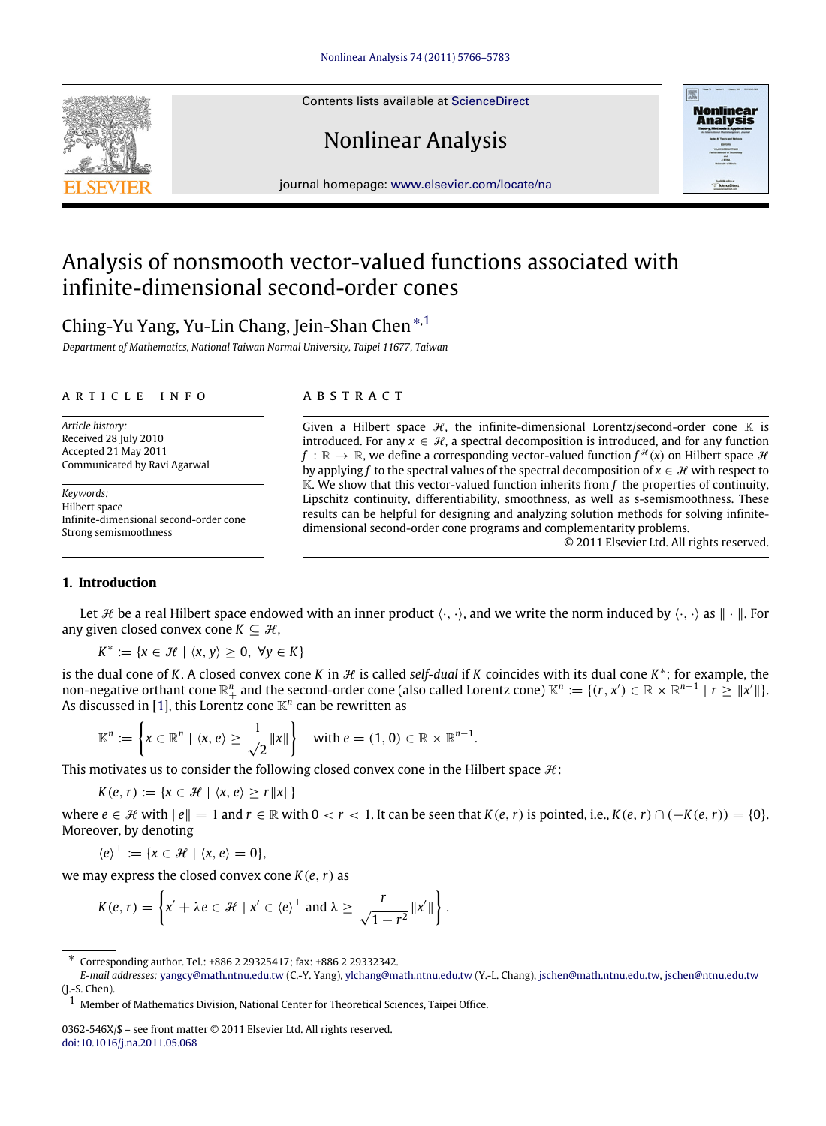Contents lists available at [ScienceDirect](http://www.elsevier.com/locate/na)

# Nonlinear Analysis



## Analysis of nonsmooth vector-valued functions associated with infinite-dimensional second-order cones

### Ching-Yu Yang, Yu-Lin Chang, Jein-Shan Chen[∗](#page-0-0)[,1](#page-0-1)

*Department of Mathematics, National Taiwan Normal University, Taipei 11677, Taiwan*

#### a r t i c l e i n f o

*Article history:* Received 28 July 2010 Accepted 21 May 2011 Communicated by Ravi Agarwal

*Keywords:* Hilbert space Infinite-dimensional second-order cone Strong semismoothness

#### a b s t r a c t

Given a Hilbert space  $H$ , the infinite-dimensional Lorentz/second-order cone K is introduced. For any  $x \in \mathcal{H}$ , a spectral decomposition is introduced, and for any function  $f\,:\,\mathbb{R}\to\,\mathbb{R},$  we define a corresponding vector-valued function  $f^\mathcal{H}(x)$  on Hilbert space  $\mathcal H$ by applying *f* to the spectral values of the spectral decomposition of  $x \in \mathcal{H}$  with respect to  $\mathbb K$ . We show that this vector-valued function inherits from f the properties of continuity, Lipschitz continuity, differentiability, smoothness, as well as s-semismoothness. These results can be helpful for designing and analyzing solution methods for solving infinitedimensional second-order cone programs and complementarity problems.

© 2011 Elsevier Ltd. All rights reserved.

**Nonlinear**<br>**Analysis** 

#### **1. Introduction**

Let  $\mathcal H$  be a real Hilbert space endowed with an inner product  $\langle \cdot, \cdot \rangle$ , and we write the norm induced by  $\langle \cdot, \cdot \rangle$  as  $\|\cdot\|$ . For any given closed convex cone  $K \subseteq \mathcal{H}$ ,

 $K^* := \{x \in \mathcal{H} \mid \langle x, y \rangle \geq 0, \ \forall y \in K\}$ 

is the dual cone of *K*. A closed convex cone *K* in  $H$  is called *self-dual* if *K* coincides with its dual cone  $K^*$ ; for example, the non-negative orthant cone  $\mathbb{R}^n_+$  and the second-order cone (also called Lorentz cone)  $\mathbb{K}^n:=\{(r,x')\in\mathbb{R}\times\mathbb{R}^{n-1}\mid r\geq \|x'\|\}.$ As discussed in [\[1\]](#page-16-0), this Lorentz cone  $\mathbb{K}^n$  can be rewritten as

$$
\mathbb{K}^n \coloneqq \left\{ x \in \mathbb{R}^n \mid \langle x, e \rangle \ge \frac{1}{\sqrt{2}} \|x\| \right\} \quad \text{with } e = (1, 0) \in \mathbb{R} \times \mathbb{R}^{n-1}.
$$

This motivates us to consider the following closed convex cone in the Hilbert space  $\mathcal{H}$ :

 $K(e, r) := \{x \in \mathcal{H} \mid \langle x, e \rangle \ge r ||x||\}$ 

where  $e \in \mathcal{H}$  with  $||e|| = 1$  and  $r \in \mathbb{R}$  with  $0 < r < 1$ . It can be seen that  $K(e, r)$  is pointed, i.e.,  $K(e, r) \cap (-K(e, r)) = \{0\}$ . Moreover, by denoting

 $\langle e \rangle^{\perp} := \{x \in \mathcal{H} \mid \langle x, e \rangle = 0\},\$ 

we may express the closed convex cone *K*(*e*,*r*) as

$$
K(e,r) = \left\{ x' + \lambda e \in \mathcal{H} \mid x' \in \langle e \rangle^{\perp} \text{ and } \lambda \geq \frac{r}{\sqrt{1-r^2}} ||x'|| \right\}.
$$



<span id="page-0-0"></span><sup>∗</sup> Corresponding author. Tel.: +886 2 29325417; fax: +886 2 29332342.

*E-mail addresses:* [yangcy@math.ntnu.edu.tw](mailto:yangcy@math.ntnu.edu.tw) (C.-Y. Yang), [ylchang@math.ntnu.edu.tw](mailto:ylchang@math.ntnu.edu.tw) (Y.-L. Chang), [jschen@math.ntnu.edu.tw,](mailto:jschen@math.ntnu.edu.tw) [jschen@ntnu.edu.tw](mailto:jschen@ntnu.edu.tw) (J.-S. Chen).

<span id="page-0-1"></span><sup>1</sup> Member of Mathematics Division, National Center for Theoretical Sciences, Taipei Office.

<sup>0362-546</sup>X/\$ – see front matter © 2011 Elsevier Ltd. All rights reserved. [doi:10.1016/j.na.2011.05.068](http://dx.doi.org/10.1016/j.na.2011.05.068)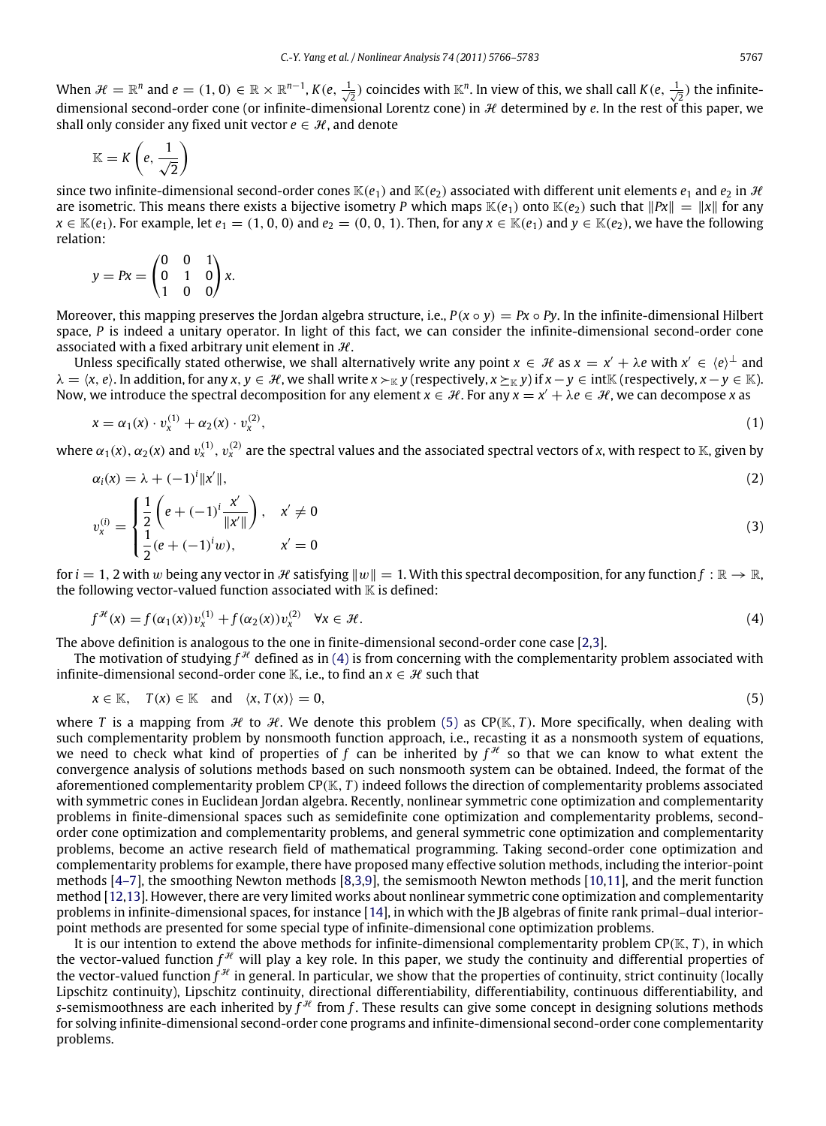When  $\mathcal{H} = \mathbb{R}^n$  and  $e = (1, 0) \in \mathbb{R} \times \mathbb{R}^{n-1}$ ,  $K(e, \frac{1}{\sqrt{2}})$  coincides with  $\mathbb{K}^n$ . In view of this, we shall call  $K(e, \frac{1}{\sqrt{2}})$  the infinitedimensional second-order cone (or infinite-dimensional Lorentz cone) in  $\mathcal H$  determined by  $e$ . In the rest of this paper, we shall only consider any fixed unit vector  $e \in \mathcal{H}$ , and denote

$$
\mathbb{K}=K\left(e,\frac{1}{\sqrt{2}}\right)
$$

since two infinite-dimensional second-order cones  $\mathbb{K}(e_1)$  and  $\mathbb{K}(e_2)$  associated with different unit elements  $e_1$  and  $e_2$  in  $\mathcal{H}$ are isometric. This means there exists a bijective isometry *P* which maps  $\mathbb{K}(e_1)$  onto  $\mathbb{K}(e_2)$  such that  $||Px|| = ||x||$  for any *x* ∈ K(*e*<sub>1</sub>). For example, let *e*<sub>1</sub> = (1, 0, 0) and *e*<sub>2</sub> = (0, 0, 1). Then, for any *x* ∈ K(*e*<sub>1</sub>) and *y* ∈ K(*e*<sub>2</sub>), we have the following relation:

$$
y = Px = \begin{pmatrix} 0 & 0 & 1 \\ 0 & 1 & 0 \\ 1 & 0 & 0 \end{pmatrix} x.
$$

Moreover, this mapping preserves the Jordan algebra structure, i.e.,  $P(x \circ y) = Px \circ Py$ . In the infinite-dimensional Hilbert space, *P* is indeed a unitary operator. In light of this fact, we can consider the infinite-dimensional second-order cone associated with a fixed arbitrary unit element in  $H$ .

Unless specifically stated otherwise, we shall alternatively write any point  $x \in \mathcal{H}$  as  $x = x' + \lambda e$  with  $x' \in \langle e \rangle^{\perp}$  and  $\lambda = \langle x, e \rangle$ . In addition, for any  $x, y \in \mathcal{H}$ , we shall write  $x \succ_{\mathbb{K}} y$  (respectively,  $x \succeq_{\mathbb{K}} y$ ) if  $x - y \in \text{int}\mathbb{K}$  (respectively,  $x - y \in \mathbb{K}$ ). Now, we introduce the spectral decomposition for any element  $x \in H$ . For any  $x = x' + \lambda e \in H$ , we can decompose *x* as

$$
x = \alpha_1(x) \cdot v_x^{(1)} + \alpha_2(x) \cdot v_x^{(2)}, \tag{1}
$$

where  $\alpha_1(x)$ ,  $\alpha_2(x)$  and  $v_x^{(1)}$ ,  $v_x^{(2)}$  are the spectral values and the associated spectral vectors of *x*, with respect to K, given by

$$
\alpha_i(x) = \lambda + (-1)^i \|x'\|,\tag{2}
$$

$$
v_x^{(i)} = \begin{cases} \frac{1}{2} \left( e + (-1)^i \frac{x'}{\|x'\|} \right), & x' \neq 0 \\ \frac{1}{2} (e + (-1)^i w), & x' = 0 \end{cases}
$$
(3)

for  $i = 1, 2$  with w being any vector in H satisfying  $||w|| = 1$ . With this spectral decomposition, for any function  $f : \mathbb{R} \to \mathbb{R}$ , the following vector-valued function associated with  $K$  is defined:

<span id="page-1-1"></span><span id="page-1-0"></span>
$$
f^{\mathcal{H}}(x) = f(\alpha_1(x))v_x^{(1)} + f(\alpha_2(x))v_x^{(2)} \quad \forall x \in \mathcal{H}.
$$
 (4)

The above definition is analogous to the one in finite-dimensional second-order cone case [\[2,](#page-16-1)[3\]](#page-16-2).

The motivation of studying  $f^\mathcal{H}$  defined as in [\(4\)](#page-1-0) is from concerning with the complementarity problem associated with infinite-dimensional second-order cone K, i.e., to find an  $x \in \mathcal{H}$  such that

$$
x \in \mathbb{K}, \quad T(x) \in \mathbb{K} \quad \text{and} \quad \langle x, T(x) \rangle = 0,
$$
 (5)

where *T* is a mapping from  $H$  to  $H$ . We denote this problem [\(5\)](#page-1-1) as CP(K, *T*). More specifically, when dealing with such complementarity problem by nonsmooth function approach, i.e., recasting it as a nonsmooth system of equations, we need to check what kind of properties of f can be inherited by  $f^{\mathcal{H}}$  so that we can know to what extent the convergence analysis of solutions methods based on such nonsmooth system can be obtained. Indeed, the format of the aforementioned complementarity problem CP(K, *T* ) indeed follows the direction of complementarity problems associated with symmetric cones in Euclidean Jordan algebra. Recently, nonlinear symmetric cone optimization and complementarity problems in finite-dimensional spaces such as semidefinite cone optimization and complementarity problems, secondorder cone optimization and complementarity problems, and general symmetric cone optimization and complementarity problems, become an active research field of mathematical programming. Taking second-order cone optimization and complementarity problems for example, there have proposed many effective solution methods, including the interior-point methods [\[4–7\]](#page-16-3), the smoothing Newton methods [\[8,](#page-16-4)[3,](#page-16-2)[9\]](#page-16-5), the semismooth Newton methods [\[10,](#page-16-6)[11\]](#page-17-0), and the merit function method [\[12](#page-17-1)[,13\]](#page-17-2). However, there are very limited works about nonlinear symmetric cone optimization and complementarity problems in infinite-dimensional spaces, for instance [\[14\]](#page-17-3), in which with the JB algebras of finite rank primal–dual interiorpoint methods are presented for some special type of infinite-dimensional cone optimization problems.

It is our intention to extend the above methods for infinite-dimensional complementarity problem CP(K, *T* ), in which the vector-valued function  $f^{\mathcal{H}}$  will play a key role. In this paper, we study the continuity and differential properties of the vector-valued function  $f^{\mathcal{H}}$  in general. In particular, we show that the properties of continuity, strict continuity (locally Lipschitz continuity), Lipschitz continuity, directional differentiability, differentiability, continuous differentiability, and *s*-semismoothness are each inherited by  $f^{\mathcal{H}}$  from f. These results can give some concept in designing solutions methods for solving infinite-dimensional second-order cone programs and infinite-dimensional second-order cone complementarity problems.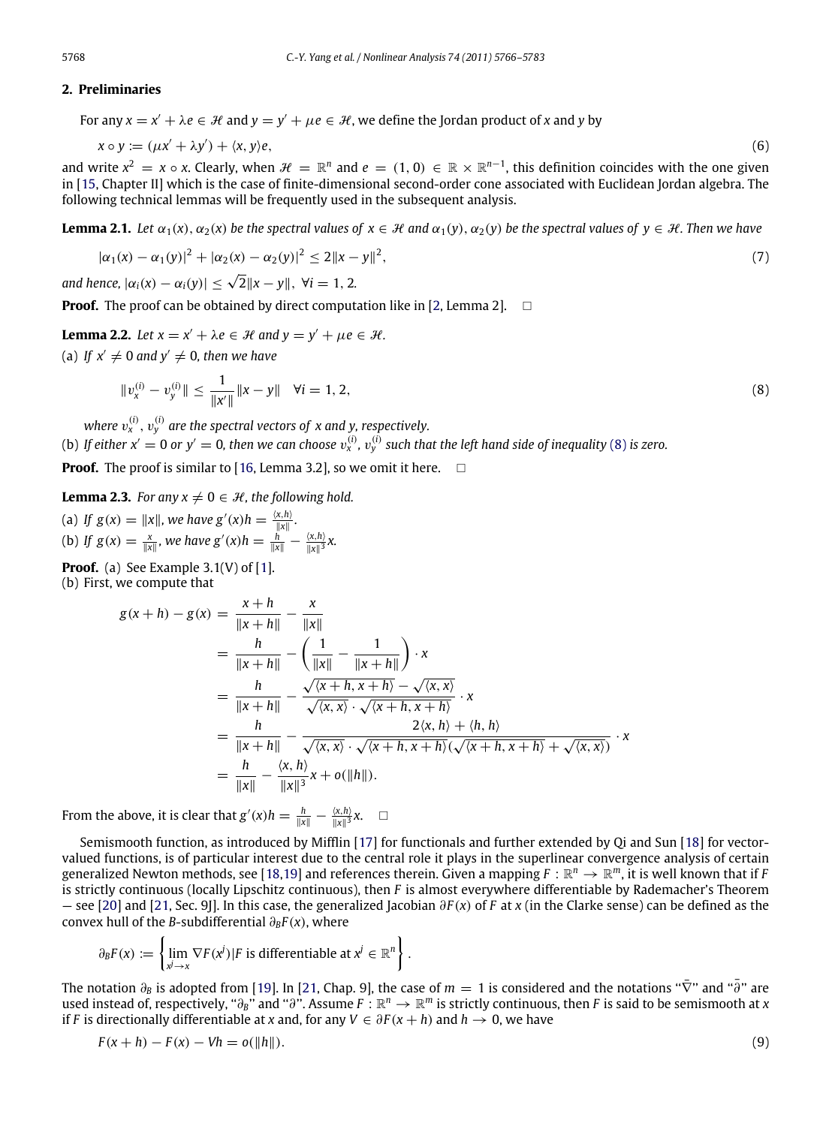#### **2. Preliminaries**

For any  $x = x' + \lambda e \in \mathcal{H}$  and  $y = y' + \mu e \in \mathcal{H}$ , we define the Jordan product of *x* and *y* by

$$
x \circ y := (\mu x' + \lambda y') + \langle x, y \rangle e, \tag{6}
$$

and write  $x^2 = x \circ x$ . Clearly, when  $\mathcal{H} = \mathbb{R}^n$  and  $e = (1,0) \in \mathbb{R} \times \mathbb{R}^{n-1}$ , this definition coincides with the one given in [\[15,](#page-17-4) Chapter II] which is the case of finite-dimensional second-order cone associated with Euclidean Jordan algebra. The following technical lemmas will be frequently used in the subsequent analysis.

**Lemma 2.1.** *Let*  $\alpha_1(x)$ ,  $\alpha_2(x)$  *be the spectral values of*  $x \in \mathcal{H}$  *and*  $\alpha_1(y)$ ,  $\alpha_2(y)$  *be the spectral values of*  $y \in \mathcal{H}$ *. Then we have* 

<span id="page-2-2"></span>
$$
|\alpha_1(x) - \alpha_1(y)|^2 + |\alpha_2(x) - \alpha_2(y)|^2 \le 2||x - y||^2,
$$
\n(7)

*and hence,*  $|\alpha_i(x) - \alpha_i(y)| \le \sqrt{2} ||x - y||$ ,  $\forall i = 1, 2$ .

**Proof.** The proof can be obtained by direct computation like in [\[2,](#page-16-1) Lemma 2].  $\Box$ 

**Lemma 2.2.** Let 
$$
x = x' + \lambda e \in \mathcal{H}
$$
 and  $y = y' + \mu e \in \mathcal{H}$ .

(a) If  $x' \neq 0$  and  $y' \neq 0$ , then we have

<span id="page-2-3"></span><span id="page-2-0"></span>
$$
||v_x^{(i)} - v_y^{(i)}|| \le \frac{1}{||x'||} ||x - y|| \quad \forall i = 1, 2,
$$
\n(8)

where  $v^{(i)}_x, v^{(i)}_y$  are the spectral vectors of  $x$  and  $y$ , respectively. (b) If either  $x'=0$  or  $y'=0$ , then we can choose  $v_x^{(i)}$ ,  $v_y^{(i)}$  such that the left hand side of inequality [\(8\)](#page-2-0) is zero.

**Proof.** The proof is similar to [\[16,](#page-17-5) Lemma 3.2], so we omit it here.  $\Box$ 

<span id="page-2-4"></span>**Lemma 2.3.** *For any*  $x \neq 0 \in \mathcal{H}$ *, the following hold.* 

(a) If 
$$
g(x) = ||x||
$$
, we have  $g'(x)h = \frac{\langle x, h \rangle}{||x||}$ .  
(b) If  $g(x) = \frac{x}{||x||}$ , we have  $g'(x)h = \frac{h}{||x||} - \frac{\langle x, h \rangle}{||x||}x$ .

**Proof.** (a) See Example  $3.1(V)$  of [\[1\]](#page-16-0). (b) First, we compute that

$$
g(x+h) - g(x) = \frac{x+h}{\|x+h\|} - \frac{x}{\|x\|}
$$
  
=  $\frac{h}{\|x+h\|} - \left(\frac{1}{\|x\|} - \frac{1}{\|x+h\|}\right) \cdot x$   
=  $\frac{h}{\|x+h\|} - \frac{\sqrt{x+h, x+h} - \sqrt{x, x}}{\sqrt{x, x} \cdot \sqrt{x+h, x+h}} \cdot x$   
=  $\frac{h}{\|x+h\|} - \frac{2\langle x, h \rangle + \langle h, h \rangle}{\sqrt{x, x} \cdot \sqrt{x+h, x+h} \cdot (\sqrt{x+h, x+h}) + \sqrt{x, x} \cdot x}$   
=  $\frac{h}{\|x\|} - \frac{\langle x, h \rangle}{\|x\|^3} x + o(\|h\|).$ 

From the above, it is clear that  $g'(x)h = \frac{h}{\|x\|} - \frac{\langle x, h \rangle}{\|x\|^3}x$ .  $\Box$ 

Semismooth function, as introduced by Mifflin [\[17\]](#page-17-6) for functionals and further extended by Qi and Sun [\[18\]](#page-17-7) for vectorvalued functions, is of particular interest due to the central role it plays in the superlinear convergence analysis of certain generalized Newton methods, see [\[18,](#page-17-7)[19\]](#page-17-8) and references therein. Given a mapping  $F:\mathbb{R}^n\to\mathbb{R}^m,$  it is well known that if F is strictly continuous (locally Lipschitz continuous), then *F* is almost everywhere differentiable by Rademacher's Theorem — see [\[20\]](#page-17-9) and [\[21,](#page-17-10) Sec. 9J]. In this case, the generalized Jacobian ∂*F* (*x*) of *F* at *x* (in the Clarke sense) can be defined as the convex hull of the *B*-subdifferential ∂*BF* (*x*), where

$$
\partial_B F(x) := \left\{ \lim_{\substack{x \to x}} \nabla F(x^j) | F \text{ is differentiable at } x^j \in \mathbb{R}^n \right\}.
$$

The notation  $\partial_B$  is adopted from [\[19\]](#page-17-8). In [\[21,](#page-17-10) Chap. 9], the case of  $m=1$  is considered and the notations " $\bar{\nabla}$ " and " $\bar{\partial}$ " are used instead of, respectively, " $\partial_B$ " and "∂". Assume  $F:\mathbb{R}^n\to\mathbb{R}^m$  is strictly continuous, then F is said to be semismooth at *x* if *F* is directionally differentiable at *x* and, for any  $V \in \partial F(x+h)$  and  $h \to 0$ , we have

<span id="page-2-1"></span>
$$
F(x+h) - F(x) - Vh = o(\|h\|). \tag{9}
$$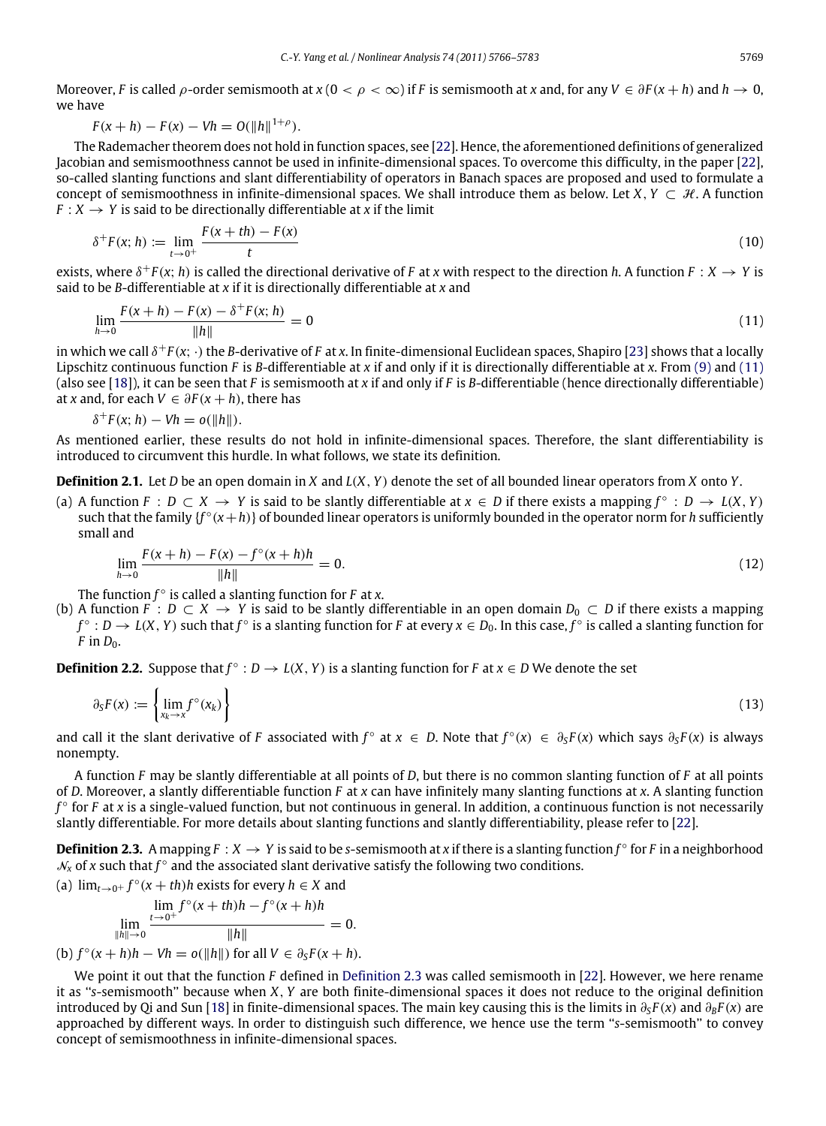Moreover, *F* is called  $\rho$ -order semismooth at  $x (0 < \rho < \infty)$  if *F* is semismooth at *x* and, for any  $V \in \partial F(x + h)$  and  $h \to 0$ , we have

$$
F(x+h) - F(x) - Vh = O(||h||^{1+\rho}).
$$

The Rademacher theorem does not hold in function spaces, see [\[22\]](#page-17-11). Hence, the aforementioned definitions of generalized Jacobian and semismoothness cannot be used in infinite-dimensional spaces. To overcome this difficulty, in the paper [\[22\]](#page-17-11), so-called slanting functions and slant differentiability of operators in Banach spaces are proposed and used to formulate a concept of semismoothness in infinite-dimensional spaces. We shall introduce them as below. Let  $X, Y \subset \mathcal{H}$ . A function  $F: X \rightarrow Y$  is said to be directionally differentiable at *x* if the limit

$$
\delta^+ F(x; h) := \lim_{t \to 0^+} \frac{F(x + th) - F(x)}{t}
$$
\n(10)

exists, where  $\delta^+F(x; h)$  is called the directional derivative of F at *x* with respect to the direction *h*. A function  $F: X \to Y$  is said to be *B*-differentiable at *x* if it is directionally differentiable at *x* and

<span id="page-3-0"></span>
$$
\lim_{h \to 0} \frac{F(x+h) - F(x) - \delta^+ F(x; h)}{\|h\|} = 0
$$
\n(11)

in which we call  $δ$ <sup>+</sup>*F*(*x*; ·) the *B*-derivative of *F* at *x*. In finite-dimensional Euclidean spaces, Shapiro [\[23\]](#page-17-12) shows that a locally Lipschitz continuous function *F* is *B*-differentiable at *x* if and only if it is directionally differentiable at *x*. From [\(9\)](#page-2-1) and [\(11\)](#page-3-0) (also see [\[18\]](#page-17-7)), it can be seen that *F* is semismooth at *x* if and only if *F* is *B*-differentiable (hence directionally differentiable) at *x* and, for each  $V \in \partial F(x + h)$ , there has

<span id="page-3-3"></span>
$$
\delta^+F(x;h)-Vh=o(\|h\|).
$$

As mentioned earlier, these results do not hold in infinite-dimensional spaces. Therefore, the slant differentiability is introduced to circumvent this hurdle. In what follows, we state its definition.

**Definition 2.1.** Let *D* be an open domain in *X* and *L*(*X*, *Y*) denote the set of all bounded linear operators from *X* onto *Y*.

(a) A function *F* : *D* ⊂ *X* → *Y* is said to be slantly differentiable at *x* ∈ *D* if there exists a mapping  $f^{\circ}$  : *D* → *L*(*X*, *Y*) such that the family {*f* ◦ (*x*+*h*)} of bounded linear operators is uniformly bounded in the operator norm for *h* sufficiently small and

<span id="page-3-2"></span>
$$
\lim_{h \to 0} \frac{F(x+h) - F(x) - f^{\circ}(x+h)h}{\|h\|} = 0.
$$
\n(12)

The function *f* ◦ is called a slanting function for *F* at *x*.

(b) A function  $\overline{F}$ :  $D \subset X \to Y$  is said to be slantly differentiable in an open domain  $D_0 \subset D$  if there exists a mapping *f* ◦ : *D* → *L*(*X*, *Y*) such that *f* ◦ is a slanting function for *F* at every *x* ∈ *D*0. In this case, *f* ◦ is called a slanting function for  $F$  in  $D_0$ .

**Definition 2.2.** Suppose that  $f^{\circ}: D \to L(X, Y)$  is a slanting function for *F* at  $x \in D$  We denote the set

$$
\partial_{S}F(x) := \left\{ \lim_{x_k \to x} f^{\circ}(x_k) \right\} \tag{13}
$$

and call it the slant derivative of *F* associated with  $f^{\circ}$  at  $x \in D$ . Note that  $f^{\circ}(x) \in \partial_S F(x)$  which says  $\partial_S F(x)$  is always nonempty.

A function *F* may be slantly differentiable at all points of *D*, but there is no common slanting function of *F* at all points of *D*. Moreover, a slantly differentiable function *F* at *x* can have infinitely many slanting functions at *x*. A slanting function *f* ◦ for *F* at *x* is a single-valued function, but not continuous in general. In addition, a continuous function is not necessarily slantly differentiable. For more details about slanting functions and slantly differentiability, please refer to [\[22\]](#page-17-11).

<span id="page-3-1"></span>**Definition 2.3.** A mapping  $F: X \to Y$  is said to be *s*-semismooth at *x* if there is a slanting function  $f^{\circ}$  for *F* in a neighborhood  $\mathcal{N}_x$  of x such that  $f^{\circ}$  and the associated slant derivative satisfy the following two conditions.

(a)  $\lim_{t\to 0^+} f^\circ(x+th)h$  exists for every  $h \in X$  and

$$
\lim_{\|h\| \to 0} \frac{\lim_{t \to 0^+} f^{\circ}(x+th)h - f^{\circ}(x+h)h}{\|h\|} = 0.
$$
\n(b)  $f^{\circ}(x+h)h - Vh = o(\|h\|)$  for all  $V \in \partial_S F(x+h)$ .

We point it out that the function *F* defined in [Definition 2.3](#page-3-1) was called semismooth in [\[22\]](#page-17-11). However, we here rename it as ''*s*-semismooth'' because when *X*, *Y* are both finite-dimensional spaces it does not reduce to the original definition introduced by Qi and Sun [\[18\]](#page-17-7) in finite-dimensional spaces. The main key causing this is the limits in  $\partial_S F(x)$  and  $\partial_B F(x)$  are approached by different ways. In order to distinguish such difference, we hence use the term ''*s*-semismooth'' to convey concept of semismoothness in infinite-dimensional spaces.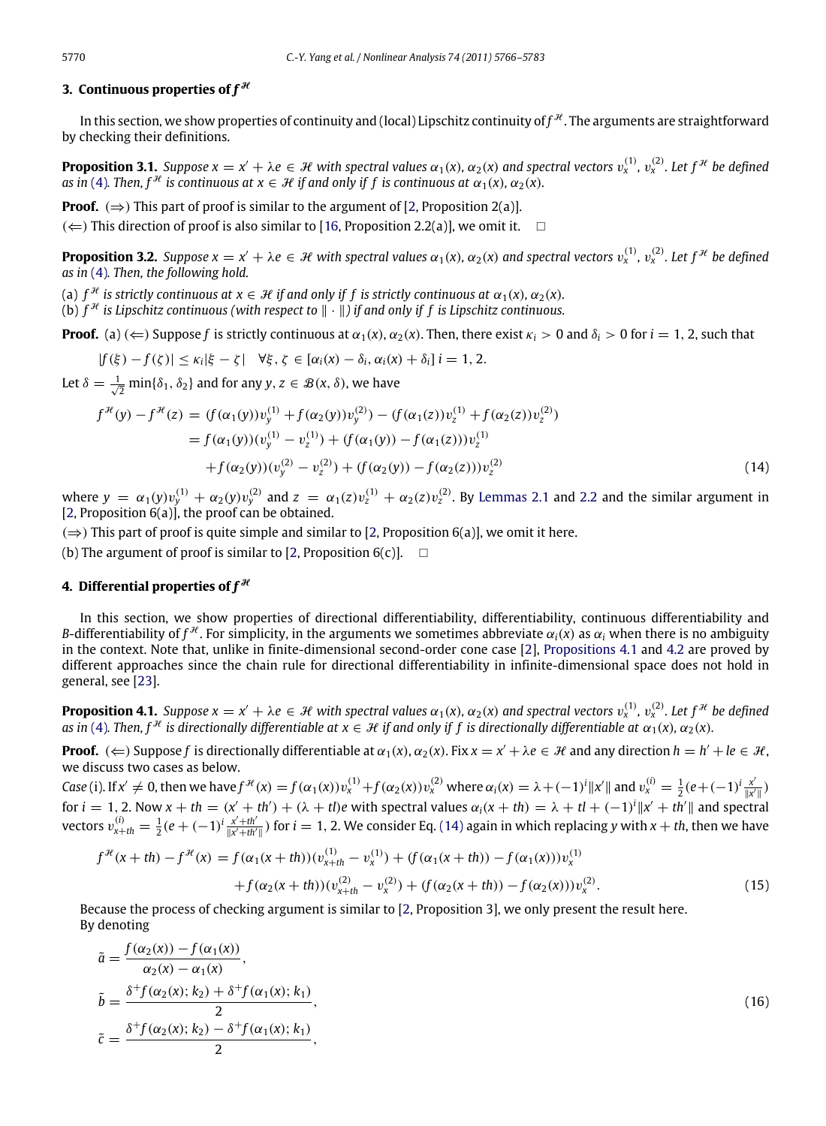#### **3. Continuous properties of**  $f^{\mathcal{H}}$

In this section, we show properties of continuity and (local) Lipschitz continuity of  $f^\mathcal{H}.$  The arguments are straightforward by checking their definitions.

**Proposition 3.1.** Suppose  $x = x' + \lambda e \in H$  with spectral values  $\alpha_1(x)$ ,  $\alpha_2(x)$  and spectral vectors  $v_x^{(1)}$ ,  $v_x^{(2)}$ . Let  $f^{\#}$  be defined  $a$ s in [\(4\)](#page-1-0). Then,  $f^{\mathcal{H}}$  is continuous at  $x \in \mathcal{H}$  if and only if f is continuous at  $\alpha_1(x)$ ,  $\alpha_2(x)$ .

**Proof.** ( $\Rightarrow$ ) This part of proof is similar to the argument of [\[2,](#page-16-1) Proposition 2(a)].

 $(\Leftarrow)$  This direction of proof is also similar to [\[16,](#page-17-5) Proposition 2.2(a)], we omit it.

**Proposition 3.2.** Suppose  $x = x' + \lambda e \in H$  with spectral values  $\alpha_1(x)$ ,  $\alpha_2(x)$  and spectral vectors  $v_x^{(1)}$ ,  $v_x^{(2)}$ . Let  $f^{\#}$  be defined *as in* [\(4\)](#page-1-0)*. Then, the following hold.*

(a)  $f^{\mathcal{H}}$  *is strictly continuous at*  $x \in \mathcal{H}$  *if and only if f is strictly continuous at*  $\alpha_1(x)$ ,  $\alpha_2(x)$ *.* 

(b)  $f^{\mathcal{H}}$  is Lipschitz continuous (with respect to  $\|\cdot\|$ ) if and only if  $f$  is Lipschitz continuous.

**Proof.** (a)  $(\Leftarrow)$  Suppose *f* is strictly continuous at  $\alpha_1(x)$ ,  $\alpha_2(x)$ . Then, there exist  $\kappa_i > 0$  and  $\delta_i > 0$  for  $i = 1, 2$ , such that

<span id="page-4-1"></span>
$$
|f(\xi)-f(\zeta)|\leq \kappa_i|\xi-\zeta| \quad \forall \xi,\,\zeta\in[\alpha_i(x)-\delta_i,\alpha_i(x)+\delta_i]\,\,i=1,2.
$$

Let  $\delta = \frac{1}{\sqrt{2}} \min\{\delta_1, \delta_2\}$  and for any  $y, z \in \mathcal{B}(x, \delta)$ , we have

$$
f^{\mathcal{H}}(y) - f^{\mathcal{H}}(z) = (f(\alpha_1(y))v_y^{(1)} + f(\alpha_2(y))v_y^{(2)}) - (f(\alpha_1(z))v_z^{(1)} + f(\alpha_2(z))v_z^{(2)})
$$
  
=  $f(\alpha_1(y))(v_y^{(1)} - v_z^{(1)}) + (f(\alpha_1(y)) - f(\alpha_1(z)))v_z^{(1)}$   
+  $f(\alpha_2(y))(v_y^{(2)} - v_z^{(2)}) + (f(\alpha_2(y)) - f(\alpha_2(z)))v_z^{(2)}$  (14)

where  $y = \alpha_1(y)v_y^{(1)} + \alpha_2(y)v_y^{(2)}$  and  $z = \alpha_1(z)v_z^{(1)} + \alpha_2(z)v_z^{(2)}$ . By [Lemmas 2.1](#page-2-2) and [2.2](#page-2-3) and the similar argument in [\[2,](#page-16-1) Proposition 6(a)], the proof can be obtained.

 $(\Rightarrow)$  This part of proof is quite simple and similar to [\[2,](#page-16-1) Proposition 6(a)], we omit it here.

(b) The argument of proof is similar to [\[2,](#page-16-1) Proposition  $6(c)$ ].  $\Box$ 

#### **4. Differential properties of**  $f^{\mathcal{H}}$

In this section, we show properties of directional differentiability, differentiability, continuous differentiability and *B*-differentiability of  $f^{\mathcal{H}}$ . For simplicity, in the arguments we sometimes abbreviate  $\alpha_i(x)$  as  $\alpha_i$  when there is no ambiguity in the context. Note that, unlike in finite-dimensional second-order cone case [\[2\]](#page-16-1), [Propositions 4.1](#page-4-0) and [4.2](#page-5-0) are proved by different approaches since the chain rule for directional differentiability in infinite-dimensional space does not hold in general, see [\[23\]](#page-17-12).

<span id="page-4-0"></span>**Proposition 4.1.** Suppose  $x = x' + \lambda e \in H$  with spectral values  $\alpha_1(x)$ ,  $\alpha_2(x)$  and spectral vectors  $v_x^{(1)}$ ,  $v_x^{(2)}$ . Let  $f^{\#}$  be defined *as in* [\(4\)](#page-1-0). Then,  $f^{\mathcal{H}}$  *is directionally differentiable at*  $x \in \mathcal{H}$  *if and only if f is directionally differentiable at*  $\alpha_1(x)$ ,  $\alpha_2(x)$ .

**Proof.** ( $\Leftarrow$ ) Suppose f is directionally differentiable at  $\alpha_1(x)$ ,  $\alpha_2(x)$ . Fix  $x = x' + \lambda e \in \mathcal{H}$  and any direction  $h = h' + le \in \mathcal{H}$ , we discuss two cases as below.

Case (i). If  $x' \neq 0$ , then we have  $f^{\mathcal{H}}(x) = f(\alpha_1(x))v_x^{(1)} + f(\alpha_2(x))v_x^{(2)}$  where  $\alpha_i(x) = \lambda + (-1)^i ||x'||$  and  $v_x^{(i)} = \frac{1}{2}(e + (-1)^i \frac{x'}{||x'|})$  $\frac{x}{\|x'\|}$ for  $i = 1, 2$ . Now  $x + th = (x' + th') + (\lambda + t)e$  with spectral values  $\alpha_i(x + th) = \lambda + tI + (-1)^i ||x' + th'||$  and spectral vectors  $v_{x+th}^{(i)} = \frac{1}{2}(e+(-1)^i \frac{x+th'}{\|x+th'\|})$  for  $i=1,2$ . We consider Eq. [\(14\)](#page-4-1) again in which replacing y with  $x+th$ , then we have

<span id="page-4-2"></span>
$$
f^{\mathcal{H}}(x+th) - f^{\mathcal{H}}(x) = f(\alpha_1(x+th))(v_{x+th}^{(1)} - v_x^{(1)}) + (f(\alpha_1(x+th)) - f(\alpha_1(x)))v_x^{(1)} + f(\alpha_2(x+th))(v_{x+th}^{(2)} - v_x^{(2)}) + (f(\alpha_2(x+th)) - f(\alpha_2(x)))v_x^{(2)}.
$$
\n(15)

Because the process of checking argument is similar to [\[2,](#page-16-1) Proposition 3], we only present the result here. By denoting

$$
\tilde{a} = \frac{f(\alpha_2(x)) - f(\alpha_1(x))}{\alpha_2(x) - \alpha_1(x)},
$$
\n
$$
\tilde{b} = \frac{\delta^+ f(\alpha_2(x); k_2) + \delta^+ f(\alpha_1(x); k_1)}{2},
$$
\n
$$
\tilde{c} = \frac{\delta^+ f(\alpha_2(x); k_2) - \delta^+ f(\alpha_1(x); k_1)}{2},
$$
\n(16)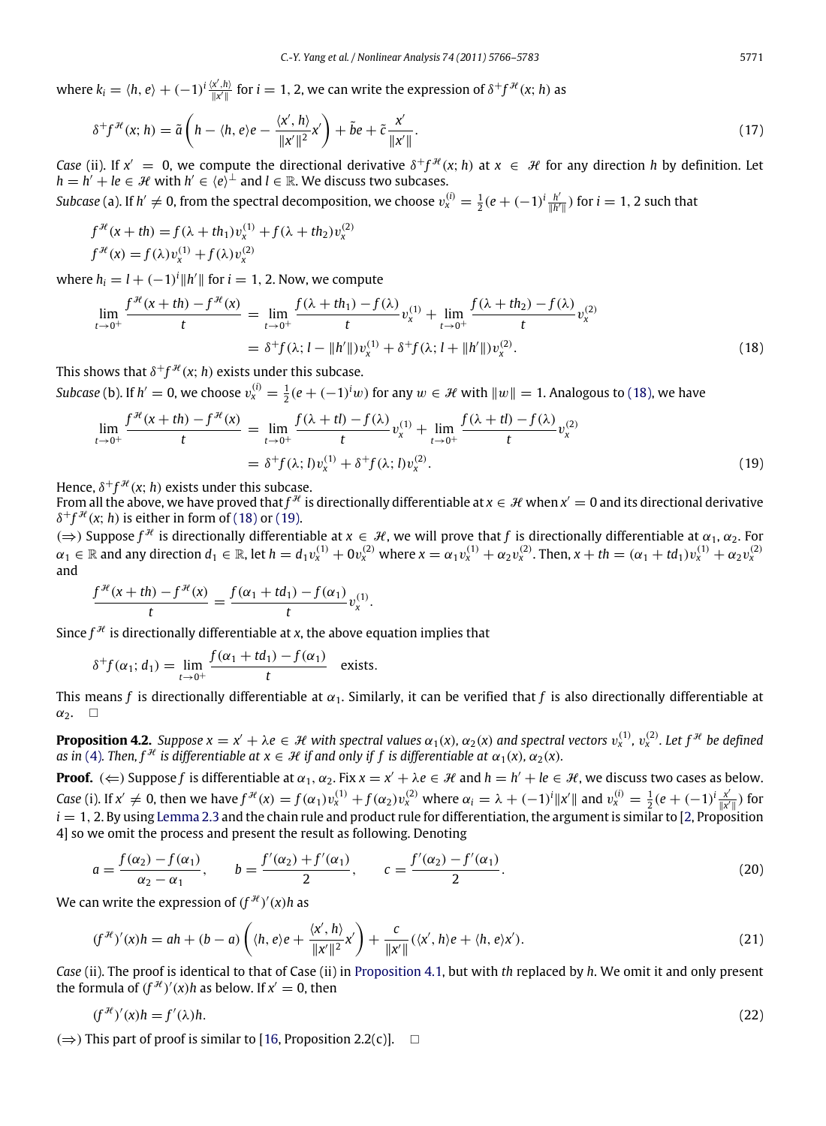where  $k_i = \langle h, e \rangle + (-1)^i \frac{\langle x', h \rangle}{\|x'\|}$  for  $i = 1, 2$ , we can write the expression of  $\delta^+ f^{\mathcal{H}}(x; h)$  as

<span id="page-5-3"></span>
$$
\delta^+ f^{\mathcal{H}}(\mathbf{x};h) = \tilde{a}\left(h - \langle h, e \rangle e - \frac{\langle x', h \rangle}{\|\mathbf{x}'\|^2} x'\right) + \tilde{b}e + \tilde{c} \frac{x'}{\|\mathbf{x}'\|}.
$$
\n(17)

*Case* (ii). If  $x' = 0$ , we compute the directional derivative  $\delta^+ f^{\mathcal{H}}(x; h)$  at  $x \in \mathcal{H}$  for any direction *h* by definition. Let  $h = h' + le \in \mathcal{H}$  with  $h' \in \langle e \rangle^{\perp}$  and  $l \in \mathbb{R}$ . We discuss two subcases.

*Subcase* (a). If  $h' \neq 0$ , from the spectral decomposition, we choose  $v_x^{(i)} = \frac{1}{2}(e + (-1)^i \frac{h'}{\|h'\|})$  $\frac{h'}{\|h'\|}$ ) for  $i=1, 2$  such that

$$
f^{\mathcal{H}}(x+th) = f(\lambda + th_1)v_x^{(1)} + f(\lambda + th_2)v_x^{(2)}
$$
  

$$
f^{\mathcal{H}}(x) = f(\lambda)v_x^{(1)} + f(\lambda)v_x^{(2)}
$$

where  $h_i = l + (-1)^i ||h'||$  for  $i = 1, 2$ . Now, we compute

$$
\lim_{t \to 0^{+}} \frac{f^{\mathcal{H}}(x+th) - f^{\mathcal{H}}(x)}{t} = \lim_{t \to 0^{+}} \frac{f(\lambda+th_1) - f(\lambda)}{t} v_x^{(1)} + \lim_{t \to 0^{+}} \frac{f(\lambda+th_2) - f(\lambda)}{t} v_x^{(2)} = \delta^{+} f(\lambda; l - ||h'||) v_x^{(1)} + \delta^{+} f(\lambda; l + ||h'||) v_x^{(2)}.
$$
\n(18)

This shows that  $\delta^+ f^{\mathcal{H}}(\mathsf{x};h)$  exists under this subcase.

*Subcase* (b). If  $h' = 0$ , we choose  $v_x^{(i)} = \frac{1}{2}(e + (-1)^i w)$  for any  $w \in \mathcal{H}$  with  $||w|| = 1$ . Analogous to [\(18\),](#page-5-1) we have

<span id="page-5-2"></span><span id="page-5-1"></span>
$$
\lim_{t \to 0^{+}} \frac{f^{\mathcal{H}}(x+th) - f^{\mathcal{H}}(x)}{t} = \lim_{t \to 0^{+}} \frac{f(\lambda + t) - f(\lambda)}{t} v_x^{(1)} + \lim_{t \to 0^{+}} \frac{f(\lambda + t) - f(\lambda)}{t} v_x^{(2)}
$$
\n
$$
= \delta^{+} f(\lambda; 0 v_x^{(1)} + \delta^{+} f(\lambda; 0 v_x^{(2)}).
$$
\n(19)

Hence,  $\delta^+ f^{\mathcal{H}}(x; h)$  exists under this subcase.

From all the above, we have proved that  $f^\mathcal{H}$  is directionally differentiable at  $x\in\mathcal{H}$  when  $x'=0$  and its directional derivative  $\delta^+ f^{\mathcal{H}}(x;h)$  is either in form of [\(18\)](#page-5-1) or [\(19\).](#page-5-2)

( $\Rightarrow$ ) Suppose  $f^{\mathcal{H}}$  is directionally differentiable at *x* ∈ *H*, we will prove that *f* is directionally differentiable at  $\alpha_1, \alpha_2$ . For  $\alpha_1 \in \mathbb{R}$  and any direction  $d_1 \in \mathbb{R}$ , let  $h = d_1v_x^{(1)} + 0v_x^{(2)}$  where  $x = \alpha_1v_x^{(1)} + \alpha_2v_x^{(2)}$ . Then,  $x + th = (\alpha_1 + td_1)v_x^{(1)} + \alpha_2v_x^{(2)}$ and

$$
\frac{f^{\mathcal{H}}(x+th)-f^{\mathcal{H}}(x)}{t}=\frac{f(\alpha_1+td_1)-f(\alpha_1)}{t}v_x^{(1)}.
$$

Since  $f^{\mathcal{H}}$  is directionally differentiable at *x*, the above equation implies that

$$
\delta^+ f(\alpha_1; d_1) = \lim_{t \to 0^+} \frac{f(\alpha_1 + td_1) - f(\alpha_1)}{t}
$$
 exists.

This means *f* is directionally differentiable at  $\alpha_1$ . Similarly, it can be verified that *f* is also directionally differentiable at  $\alpha_2$ .  $\Box$ 

<span id="page-5-0"></span>**Proposition 4.2.** Suppose  $x = x' + \lambda e \in H$  with spectral values  $\alpha_1(x)$ ,  $\alpha_2(x)$  and spectral vectors  $v_x^{(1)}$ ,  $v_x^{(2)}$ . Let  $f^{\#}$  be defined *as in* [\(4\)](#page-1-0). Then,  $f^{\mathcal{H}}$  *is differentiable at*  $x \in \mathcal{H}$  *if and only if f is differentiable at*  $\alpha_1(x)$ *,*  $\alpha_2(x)$ *.* 

**Proof.** ( $\Leftarrow$ ) Suppose *f* is differentiable at  $\alpha_1, \alpha_2$ . Fix  $x = x' + \lambda e \in \mathcal{H}$  and  $h = h' + le \in \mathcal{H}$ , we discuss two cases as below. Case (i). If  $x' \neq 0$ , then we have  $f^{H}(x) = f(\alpha_1)v_x^{(1)} + f(\alpha_2)v_x^{(2)}$  where  $\alpha_i = \lambda + (-1)^i ||x'||$  and  $v_x^{(i)} = \frac{1}{2}(e + (-1)^i \frac{x'}{||x'||})$  $\frac{x}{\|x'\|}$ ) for  $i = 1, 2$ . By using [Lemma 2.3](#page-2-4) and the chain rule and product rule for differentiation, the argument is similar to [\[2,](#page-16-1) Proposition 4] so we omit the process and present the result as following. Denoting

$$
a = \frac{f(\alpha_2) - f(\alpha_1)}{\alpha_2 - \alpha_1}, \qquad b = \frac{f'(\alpha_2) + f'(\alpha_1)}{2}, \qquad c = \frac{f'(\alpha_2) - f'(\alpha_1)}{2}.
$$
 (20)

We can write the expression of  $(f^{\mathcal{H}})'(x)h$  as

$$
(f^{\mathcal{H}})'(x)h = ah + (b-a)\left(\langle h, e\rangle e + \frac{\langle x', h\rangle}{\|x'\|^2}x'\right) + \frac{c}{\|x'\|}(\langle x', h\rangle e + \langle h, e\rangle x').\tag{21}
$$

*Case* (ii). The proof is identical to that of Case (ii) in [Proposition 4.1,](#page-4-0) but with *th* replaced by *h*. We omit it and only present the formula of  $(f^{\mathcal{H}})'(x)h$  as below. If  $x' = 0$ , then

$$
(f^{\mathcal{H}})'(x)h = f'(\lambda)h. \tag{22}
$$

 $(\Rightarrow)$  This part of proof is similar to [\[16,](#page-17-5) Proposition 2.2(c)].  $\Box$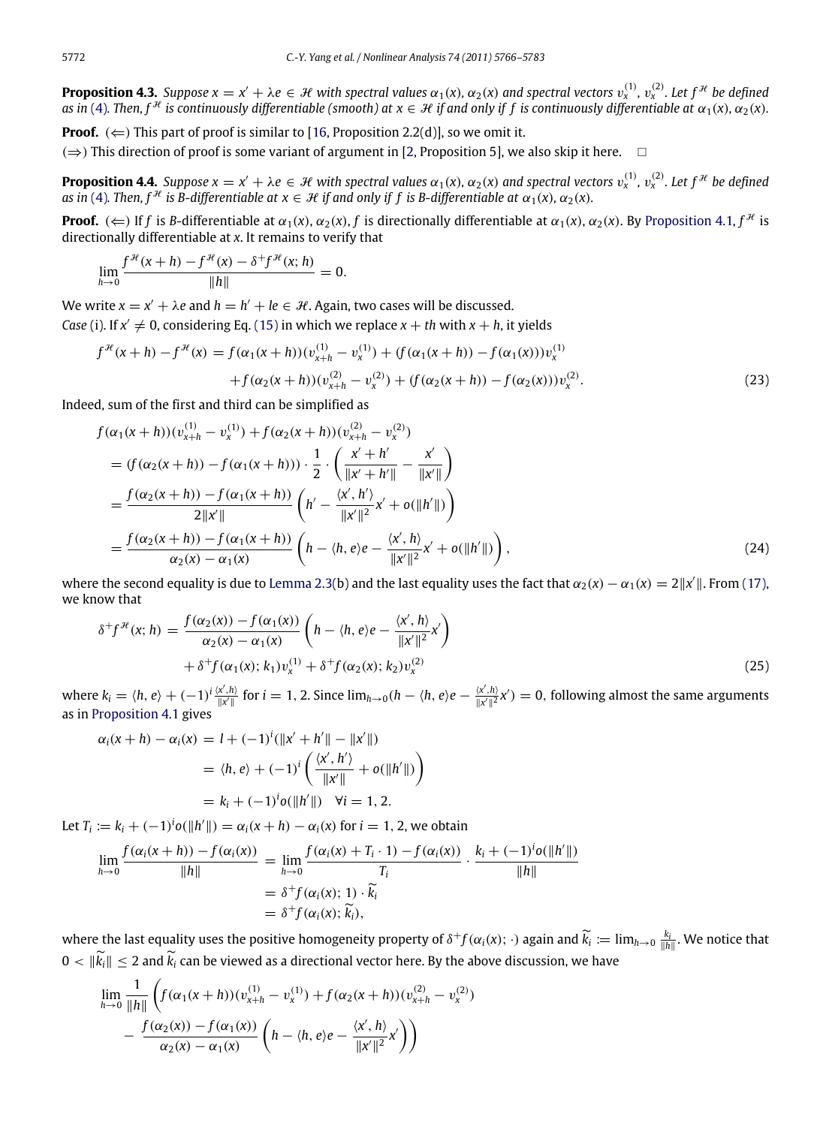**Proposition 4.3.** Suppose  $x = x' + \lambda e \in H$  with spectral values  $\alpha_1(x)$ ,  $\alpha_2(x)$  and spectral vectors  $v_x^{(1)}$ ,  $v_x^{(2)}$ . Let  $f^{\#}$  be defined as in [\(4\)](#page-1-0). Then, f  $^{\mathcal{H}}$  is continuously differentiable (smooth) at  $x\in\mathcal{H}$  if and only if f is continuously differentiable at  $\alpha_1(x)$ ,  $\alpha_2(x)$ .

**Proof.**  $(\Leftarrow)$  This part of proof is similar to [\[16,](#page-17-5) Proposition 2.2(d)], so we omit it.

 $(\Rightarrow)$  This direction of proof is some variant of argument in [\[2,](#page-16-1) Proposition 5], we also skip it here. □

**Proposition 4.4.** Suppose  $x = x' + \lambda e \in H$  with spectral values  $\alpha_1(x)$ ,  $\alpha_2(x)$  and spectral vectors  $v_x^{(1)}$ ,  $v_x^{(2)}$ . Let  $f^{\#}$  be defined *as in* [\(4\)](#page-1-0). Then,  $f^{\mathcal{H}}$  *is B-differentiable at*  $x \in \mathcal{H}$  *if and only if f is B-differentiable at*  $\alpha_1(x)$ ,  $\alpha_2(x)$ *.* 

**Proof.** ( $\Leftarrow$ ) If *f* is *B*-differentiable at  $\alpha_1(x)$ ,  $\alpha_2(x)$ , *f* is directionally differentiable at  $\alpha_1(x)$ ,  $\alpha_2(x)$ . By [Proposition 4.1,](#page-4-0)  $f^{\mathcal{H}}$  is directionally differentiable at *x*. It remains to verify that

$$
\lim_{h \to 0} \frac{f^{\mathcal{H}}(x+h) - f^{\mathcal{H}}(x) - \delta^+ f^{\mathcal{H}}(x; h)}{\|h\|} = 0.
$$

We write  $x = x' + \lambda e$  and  $h = h' + le \in \mathcal{H}$ . Again, two cases will be discussed.

*Case* (i). If  $x' \neq 0$ , considering Eq. [\(15\)](#page-4-2) in which we replace  $x + th$  with  $x + h$ , it yields

$$
f^{\mathcal{H}}(x+h) - f^{\mathcal{H}}(x) = f(\alpha_1(x+h))(v_{x+h}^{(1)} - v_x^{(1)}) + (f(\alpha_1(x+h)) - f(\alpha_1(x)))v_x^{(1)} + f(\alpha_2(x+h))(v_{x+h}^{(2)} - v_x^{(2)}) + (f(\alpha_2(x+h)) - f(\alpha_2(x)))v_x^{(2)}.
$$
\n(23)

Indeed, sum of the first and third can be simplified as

<span id="page-6-0"></span>
$$
f(\alpha_1(x+h))(v_{x+h}^{(1)} - v_x^{(1)}) + f(\alpha_2(x+h))(v_{x+h}^{(2)} - v_x^{(2)})
$$
  
=  $(f(\alpha_2(x+h)) - f(\alpha_1(x+h))) \cdot \frac{1}{2} \cdot \left(\frac{x'+h'}{\|x'+h'\|} - \frac{x'}{\|x'\|}\right)$   
=  $\frac{f(\alpha_2(x+h)) - f(\alpha_1(x+h))}{2\|x'\|} \left(h' - \frac{\langle x', h' \rangle}{\|x'\|^2}x' + o(\|h'\|)\right)$   
=  $\frac{f(\alpha_2(x+h)) - f(\alpha_1(x+h))}{\alpha_2(x) - \alpha_1(x)} \left(h - \langle h, e \rangle e - \frac{\langle x', h \rangle}{\|x'\|^2}x' + o(\|h'\|)\right),$  (24)

where the second equality is due to [Lemma 2.3\(](#page-2-4)b) and the last equality uses the fact that  $\alpha_2(x) - \alpha_1(x) = 2||x'||$ . From [\(17\),](#page-5-3) we know that

<span id="page-6-2"></span><span id="page-6-1"></span>
$$
\delta^{+}f^{\mathcal{H}}(x; h) = \frac{f(\alpha_{2}(x)) - f(\alpha_{1}(x))}{\alpha_{2}(x) - \alpha_{1}(x)} \left( h - \langle h, e \rangle e - \frac{\langle x', h \rangle}{\|x'\|^2} x' \right) \n+ \delta^{+}f(\alpha_{1}(x); k_{1})v_{x}^{(1)} + \delta^{+}f(\alpha_{2}(x); k_{2})v_{x}^{(2)}
$$
\n(25)

where  $k_i = \langle h, e \rangle + (-1)^i \frac{\langle x', h \rangle}{\|x'\|}$  for  $i = 1, 2$ . Since  $\lim_{h \to 0} (h - \langle h, e \rangle e - \frac{\langle x', h \rangle}{\|x'\|^2} x') = 0$ , following almost the same arguments as in [Proposition 4.1](#page-4-0) gives

$$
\alpha_i(x+h) - \alpha_i(x) = l + (-1)^i (\|x' + h'\| - \|x'\|)
$$
  
=  $\langle h, e \rangle + (-1)^i \left( \frac{\langle x', h' \rangle}{\|x'\|} + o(\|h'\|) \right)$   
=  $k_i + (-1)^i o(\|h'\|) \quad \forall i = 1, 2.$ 

Let  $T_i := k_i + (-1)^i o(\|h'\|) = \alpha_i(x + h) - \alpha_i(x)$  for  $i = 1, 2$ , we obtain

$$
\lim_{h \to 0} \frac{f(\alpha_i(x+h)) - f(\alpha_i(x))}{\|h\|} = \lim_{h \to 0} \frac{f(\alpha_i(x) + T_i \cdot 1) - f(\alpha_i(x))}{T_i} \cdot \frac{k_i + (-1)^i o(\|h'\|)}{\|h\|}
$$

$$
= \delta^+ f(\alpha_i(x); 1) \cdot \widetilde{k}_i
$$

$$
= \delta^+ f(\alpha_i(x); \widetilde{k}_i),
$$

where the last equality uses the positive homogeneity property of  $\delta^+ f(\alpha_i(x); \cdot)$  again and  $\widetilde{k}_i := \lim_{h \to 0} \frac{k_i}{\|h\|}$ . We notice that  $0 < \|\widetilde{k}_i\| \leq 2$  and  $\widetilde{k}_i$  can be viewed as a directional vector here. By the above discussion, we have

$$
\lim_{h \to 0} \frac{1}{\|h\|} \left( f(\alpha_1(x+h))(v_{x+h}^{(1)} - v_x^{(1)}) + f(\alpha_2(x+h))(v_{x+h}^{(2)} - v_x^{(2)}) - \frac{f(\alpha_2(x)) - f(\alpha_1(x))}{\alpha_2(x) - \alpha_1(x)} \left( h - \langle h, e \rangle e - \frac{\langle x', h \rangle}{\|x'\|^2} x' \right) \right)
$$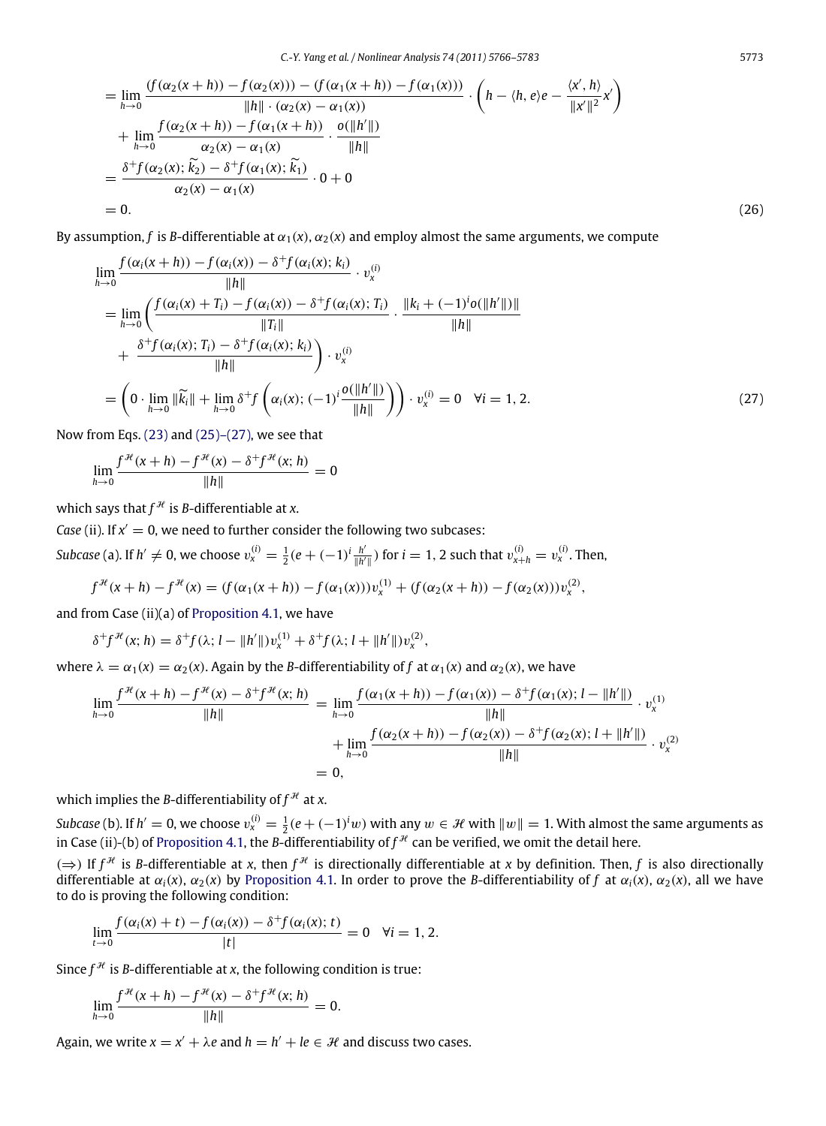$$
= \lim_{h \to 0} \frac{f(\alpha_2(x+h)) - f(\alpha_2(x)) - (f(\alpha_1(x+h)) - f(\alpha_1(x)))}{\|h\| \cdot (\alpha_2(x) - \alpha_1(x))} \cdot \left(h - \langle h, e \rangle e - \frac{\langle x', h \rangle}{\|x'\|^2} x'\right) + \lim_{h \to 0} \frac{f(\alpha_2(x+h)) - f(\alpha_1(x+h))}{\alpha_2(x) - \alpha_1(x)} \cdot \frac{o(\|h'\|)}{\|h\|} = \frac{\delta^+ f(\alpha_2(x); \tilde{k}_2) - \delta^+ f(\alpha_1(x); \tilde{k}_1)}{\alpha_2(x) - \alpha_1(x)} \cdot 0 + 0 = 0.
$$
 (26)

By assumption, *f* is *B*-differentiable at  $\alpha_1(x)$ ,  $\alpha_2(x)$  and employ almost the same arguments, we compute

$$
\lim_{h \to 0} \frac{f(\alpha_i(x+h)) - f(\alpha_i(x)) - \delta^+ f(\alpha_i(x); k_i)}{\|h\|} \cdot v_x^{(i)}
$$
\n
$$
= \lim_{h \to 0} \left( \frac{f(\alpha_i(x) + T_i) - f(\alpha_i(x)) - \delta^+ f(\alpha_i(x); T_i)}{\|T_i\|} \cdot \frac{\|k_i + (-1)^i o(\|h'\|)\|}{\|h\|} + \frac{\delta^+ f(\alpha_i(x); T_i) - \delta^+ f(\alpha_i(x); k_i)}{\|h\|} \right) \cdot v_x^{(i)}
$$
\n
$$
= \left( 0 \cdot \lim_{h \to 0} \|\widetilde{k}_i\| + \lim_{h \to 0} \delta^+ f\left(\alpha_i(x); (-1)^i \frac{o(\|h'\|)}{\|h\|}\right) \right) \cdot v_x^{(i)} = 0 \quad \forall i = 1, 2. \tag{27}
$$

Now from Eqs.  $(23)$  and  $(25)-(27)$ , we see that

$$
\lim_{h \to 0} \frac{f^{\mathcal{H}}(x+h) - f^{\mathcal{H}}(x) - \delta^+ f^{\mathcal{H}}(x; h)}{\|h\|} = 0
$$

which says that  $f^{\mathcal{H}}$  is *B*-differentiable at *x*.

*Case* (ii). If  $x' = 0$ , we need to further consider the following two subcases: *Subcase* (a). If  $h' \neq 0$ , we choose  $v_x^{(i)} = \frac{1}{2}(e + (-1)^i \frac{h'}{\|h'\|})$  $\frac{h'}{\|h'\|}$ ) for  $i = 1, 2$  such that  $v_{x+h}^{(i)} = v_x^{(i)}$ . Then,

$$
f^{\mathcal{H}}(x+h) - f^{\mathcal{H}}(x) = (f(\alpha_1(x+h)) - f(\alpha_1(x)))v_x^{(1)} + (f(\alpha_2(x+h)) - f(\alpha_2(x)))v_x^{(2)},
$$

and from Case (ii)(a) of [Proposition 4.1,](#page-4-0) we have

$$
\delta^+ f^{\mathcal{H}}(x; h) = \delta^+ f(\lambda; l - \|h'\|) v_x^{(1)} + \delta^+ f(\lambda; l + \|h'\|) v_x^{(2)}
$$

where  $\lambda = \alpha_1(x) = \alpha_2(x)$ . Again by the *B*-differentiability of *f* at  $\alpha_1(x)$  and  $\alpha_2(x)$ , we have

$$
\lim_{h \to 0} \frac{f^{\mathcal{H}}(x+h) - f^{\mathcal{H}}(x) - \delta^+ f^{\mathcal{H}}(x;h)}{\|h\|} = \lim_{h \to 0} \frac{f(\alpha_1(x+h)) - f(\alpha_1(x)) - \delta^+ f(\alpha_1(x); l - \|h'\|)}{\|h\|} \cdot v_x^{(1)} + \lim_{h \to 0} \frac{f(\alpha_2(x+h)) - f(\alpha_2(x)) - \delta^+ f(\alpha_2(x); l + \|h'\|)}{\|h\|} \cdot v_x^{(2)} = 0,
$$

which implies the *B*-differentiability of  $f^{\mathcal{H}}$  at *x*.

*Subcase* (b). If  $h'=0$ , we choose  $v_x^{(i)}=\frac{1}{2}(e+(-1)^iw)$  with any  $w\in\mathcal{H}$  with  $\|w\|=1$ . With almost the same arguments as  $2\sec\left(\frac{\theta}{n}\right)$ . In  $n = 0$ , we enouse  $\cos\left(\frac{n}{2}\right) = \frac{1}{2}\left(\frac{1}{n}\right)$  (b) of [Proposition 4.1,](#page-4-0) the *B*-differentiability of  $f^{\mathcal{H}}$  can be verified, we omit the detail here.

,

( $\Rightarrow$ ) If *f*<sup>N</sup> is *B*-differentiable at *x*, then *f*<sup>N</sup> is directionally differentiable at *x* by definition. Then, *f* is also directionally differentiable at  $\alpha_i(x)$ ,  $\alpha_2(x)$  by [Proposition 4.1.](#page-4-0) In order to prove the *B*-differentiability of *f* at  $\alpha_i(x)$ ,  $\alpha_2(x)$ , all we have to do is proving the following condition:

$$
\lim_{t \to 0} \frac{f(\alpha_i(x) + t) - f(\alpha_i(x)) - \delta^+ f(\alpha_i(x); t)}{|t|} = 0 \quad \forall i = 1, 2.
$$

Since  $f^{\mathcal{H}}$  is *B*-differentiable at *x*, the following condition is true:

$$
\lim_{h \to 0} \frac{f^{\mathcal{H}}(x+h) - f^{\mathcal{H}}(x) - \delta^+ f^{\mathcal{H}}(x; h)}{\|h\|} = 0.
$$

Again, we write  $x = x' + \lambda e$  and  $h = h' + le \in \mathcal{H}$  and discuss two cases.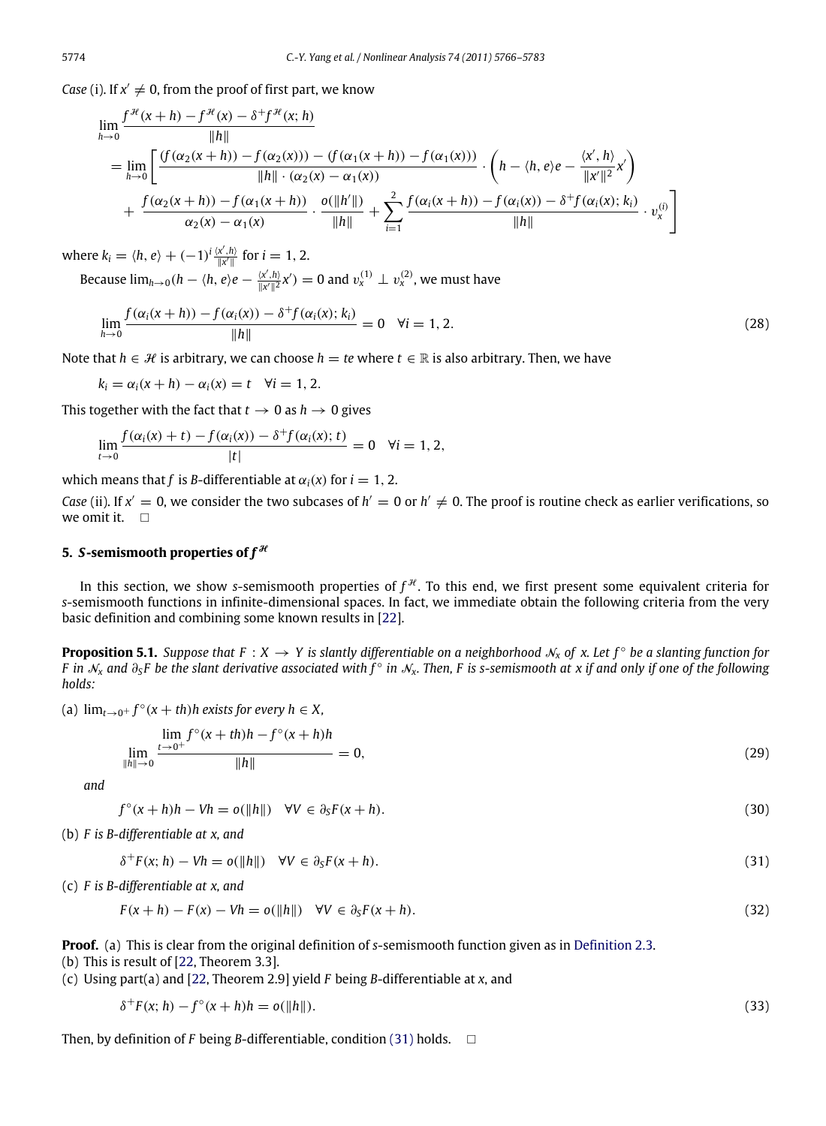*Case* (i). If  $x' \neq 0$ , from the proof of first part, we know

+*f*

$$
\lim_{h \to 0} \frac{f^{\mathcal{H}}(x+h) - f^{\mathcal{H}}(x) - \delta^{+} f^{\mathcal{H}}(x; h)}{\|h\|}
$$
\n
$$
= \lim_{h \to 0} \left[ \frac{(f(\alpha_{2}(x+h)) - f(\alpha_{2}(x))) - (f(\alpha_{1}(x+h)) - f(\alpha_{1}(x)))}{\|h\| \cdot (\alpha_{2}(x) - \alpha_{1}(x))} \cdot \left(h - \langle h, e \rangle e - \frac{\langle x', h \rangle}{\|x'\|^2} x'\right) + \frac{f(\alpha_{2}(x+h)) - f(\alpha_{1}(x+h)) - f(\alpha_{1}(x+h))}{\alpha_{2}(x) - \alpha_{1}(x)} \cdot \frac{o(\|h'\|)}{\|h\|} + \sum_{i=1}^{2} \frac{f(\alpha_{i}(x+h)) - f(\alpha_{i}(x)) - \delta^{+} f(\alpha_{i}(x); k_{i})}{\|h\|} \cdot v_{x}^{(i)} \right]
$$

where  $k_i = \langle h, e \rangle + (-1)^i \frac{\langle x', h \rangle}{\|x'\|}$  for  $i = 1, 2$ .

Because  $\lim_{h\to 0} (h - \langle h, e \rangle e - \frac{\langle x', h \rangle}{\|x'\|^2} x') = 0$  and  $v_x^{(1)} \perp v_x^{(2)}$ , we must have

$$
\lim_{h \to 0} \frac{f(\alpha_i(x+h)) - f(\alpha_i(x)) - \delta^+ f(\alpha_i(x); k_i)}{\|h\|} = 0 \quad \forall i = 1, 2.
$$
\n(28)

Note that  $h \in \mathcal{H}$  is arbitrary, we can choose  $h = te$  where  $t \in \mathbb{R}$  is also arbitrary. Then, we have

$$
k_i = \alpha_i(x+h) - \alpha_i(x) = t \quad \forall i = 1, 2.
$$

This together with the fact that  $t \to 0$  as  $h \to 0$  gives

$$
\lim_{t\to 0}\frac{f(\alpha_i(x)+t)-f(\alpha_i(x))-\delta^+f(\alpha_i(x);t)}{|t|}=0 \quad \forall i=1,2,
$$

which means that *f* is *B*-differentiable at  $\alpha_i(x)$  for  $i = 1, 2$ .

*Case* (ii). If  $x' = 0$ , we consider the two subcases of  $h' = 0$  or  $h' \neq 0$ . The proof is routine check as earlier verifications, so we omit it.  $\Box$ 

#### **5.** *S*-semismooth properties of  $f^{\mathcal{H}}$

In this section, we show *s*-semismooth properties of  $f^{\mathcal{H}}$ . To this end, we first present some equivalent criteria for *s*-semismooth functions in infinite-dimensional spaces. In fact, we immediate obtain the following criteria from the very basic definition and combining some known results in [\[22\]](#page-17-11).

**Proposition 5.1.** Suppose that  $F: X \to Y$  is slantly differentiable on a neighborhood  $\mathcal{N}_X$  of  $x$ . Let  $f^{\circ}$  be a slanting function for *F* in  $\mathcal{N}_x$  and  $\partial_S F$  be the slant derivative associated with  $\tilde{f}^\circ$  in  $\mathcal{N}_x$ . Then, F is s-semismooth at x if and only if one of the following *holds:*

(a)  $\lim_{t\to 0^+} f^\circ(x+th)h$  exists for every  $h \in X$ ,

<span id="page-8-1"></span>
$$
\lim_{\|h\| \to 0} \frac{\lim_{t \to 0^+} f^\circ(x+th)h - f^\circ(x+h)h}{\|h\|} = 0,
$$
\n(29)

*and*

$$
f^{\circ}(x+h)h - Vh = o(\Vert h \Vert) \quad \forall V \in \partial_{S}F(x+h). \tag{30}
$$

(b) *F is B-differentiable at x, and*

<span id="page-8-0"></span>
$$
\delta^+ F(x; h) - Vh = o(\|h\|) \quad \forall V \in \partial_S F(x + h). \tag{31}
$$

(c) *F is B-differentiable at x, and*

$$
F(x+h) - F(x) - Vh = o(||h||) \quad \forall V \in \partial_S F(x+h).
$$
\n(32)

**Proof.** (a) This is clear from the original definition of *s*-semismooth function given as in [Definition 2.3.](#page-3-1)

(b) This is result of [\[22,](#page-17-11) Theorem 3.3].

(c) Using part(a) and [\[22,](#page-17-11) Theorem 2.9] yield *F* being *B*-differentiable at *x*, and

$$
\delta^+ F(x; h) - f^{\circ}(x + h)h = o(\|h\|). \tag{33}
$$

Then, by definition of *F* being *B*-differentiable, condition [\(31\)](#page-8-0) holds.  $\Box$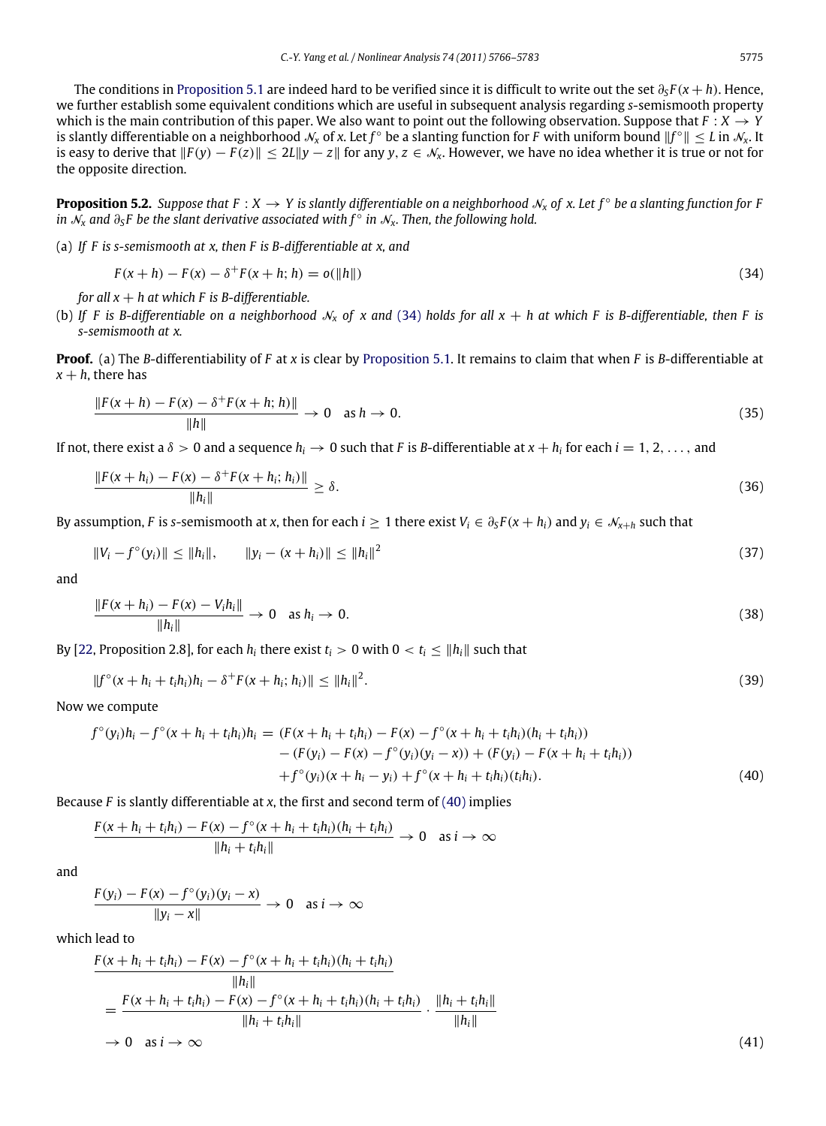The conditions in [Proposition 5.1](#page-8-1) are indeed hard to be verified since it is difficult to write out the set ∂*<sup>S</sup> F* (*x* + *h*). Hence, we further establish some equivalent conditions which are useful in subsequent analysis regarding *s*-semismooth property which is the main contribution of this paper. We also want to point out the following observation. Suppose that  $F: X \to Y$ is slantly differentiable on a neighborhood  $\mathcal{N}_x$  of x. Let  $f^\circ$  be a slanting function for  $F$  with uniform bound  $\|f^\circ\|\leq L$  in  $\mathcal{N}_x$ . It is easy to derive that  $||F(y) - F(z)|| \le 2L||y - z||$  for any  $y, z \in \mathcal{N}_x$ . However, we have no idea whether it is true or not for the opposite direction.

**Proposition 5.2.** Suppose that  $F: X \to Y$  is slantly differentiable on a neighborhood  $\mathcal{N}_x$  of x. Let  $f^{\circ}$  be a slanting function for F *in*  $\tilde{\mathcal{N}}_x$  and  $\partial_s F$  be the slant derivative associated with  $f^{\circ}$  in  $\mathcal{N}_x$ . Then, the following hold.

(a) *If F is s-semismooth at x, then F is B-differentiable at x, and*

<span id="page-9-8"></span><span id="page-9-0"></span>
$$
F(x+h) - F(x) - \delta^+ F(x+h; h) = o(||h||)
$$
\n(34)

*for all*  $x + h$  *at* which *F* is *B*-differentiable.

(b) If F is B-differentiable on a neighborhood  $\mathcal{N}_x$  of x and [\(34\)](#page-9-0) holds for all  $x + h$  at which F is B-differentiable, then F is *s-semismooth at x.*

**Proof.** (a) The *B*-differentiability of *F* at *x* is clear by [Proposition 5.1.](#page-8-1) It remains to claim that when *F* is *B*-differentiable at  $x + h$ , there has

$$
\frac{\|F(x+h) - F(x) - \delta^+ F(x+h; h)\|}{\|h\|} \to 0 \quad \text{as } h \to 0.
$$
 (35)

If not, there exist a  $\delta > 0$  and a sequence  $h_i \to 0$  such that F is B-differentiable at  $x + h_i$  for each  $i = 1, 2, \ldots$ , and

$$
\frac{\|F(x+h_i) - F(x) - \delta^+ F(x+h_i; h_i)\|}{\|h_i\|} \ge \delta.
$$
\n(36)

By assumption, *F* is *s*-semismooth at *x*, then for each  $i \ge 1$  there exist  $V_i \in \partial_S F(x + h_i)$  and  $y_i \in \mathcal{N}_{x+h}$  such that

$$
||V_i - f^{\circ}(y_i)|| \le ||h_i||, \qquad ||y_i - (x + h_i)|| \le ||h_i||^2
$$
\n(37)

and

$$
\frac{\|F(x+h_i) - F(x) - V_i h_i\|}{\|h_i\|} \to 0 \quad \text{as } h_i \to 0.
$$
 (38)

By [\[22,](#page-17-11) Proposition 2.8], for each  $h_i$  there exist  $t_i > 0$  with  $0 < t_i \le ||h_i||$  such that

$$
||f^{\circ}(x+h_i+t_ih_i)h_i-\delta^+F(x+h_i;h_i)|| \leq ||h_i||^2.
$$
 (39)

Now we compute

$$
f^{\circ}(y_i)h_i - f^{\circ}(x + h_i + t_ih_i)h_i = (F(x + h_i + t_ih_i) - F(x) - f^{\circ}(x + h_i + t_ih_i)(h_i + t_ih_i))
$$
  
\n
$$
- (F(y_i) - F(x) - f^{\circ}(y_i)(y_i - x)) + (F(y_i) - F(x + h_i + t_ih_i))
$$
  
\n
$$
+ f^{\circ}(y_i)(x + h_i - y_i) + f^{\circ}(x + h_i + t_ih_i)(t_ih_i).
$$
\n(40)

Because *F* is slantly differentiable at *x*, the first and second term of [\(40\)](#page-9-1) implies

$$
\frac{F(x+h_i+t_ih_i)-F(x)-f^{\circ}(x+h_i+t_ih_i)(h_i+t_ih_i)}{\|h_i+t_ih_i\|}\to 0 \text{ as } i\to\infty
$$

and

$$
\frac{F(y_i) - F(x) - f^{\circ}(y_i)(y_i - x)}{\|y_i - x\|} \to 0 \text{ as } i \to \infty
$$

which lead to

$$
\frac{F(x + h_i + t_i h_i) - F(x) - f^{\circ}(x + h_i + t_i h_i)(h_i + t_i h_i)}{||h_i||}
$$
\n
$$
= \frac{F(x + h_i + t_i h_i) - F(x) - f^{\circ}(x + h_i + t_i h_i)(h_i + t_i h_i)}{||h_i + t_i h_i||} \cdot \frac{||h_i + t_i h_i||}{||h_i||}
$$
\n
$$
\to 0 \text{ as } i \to \infty
$$
\n(41)

<span id="page-9-7"></span><span id="page-9-6"></span><span id="page-9-5"></span><span id="page-9-4"></span><span id="page-9-3"></span><span id="page-9-2"></span><span id="page-9-1"></span>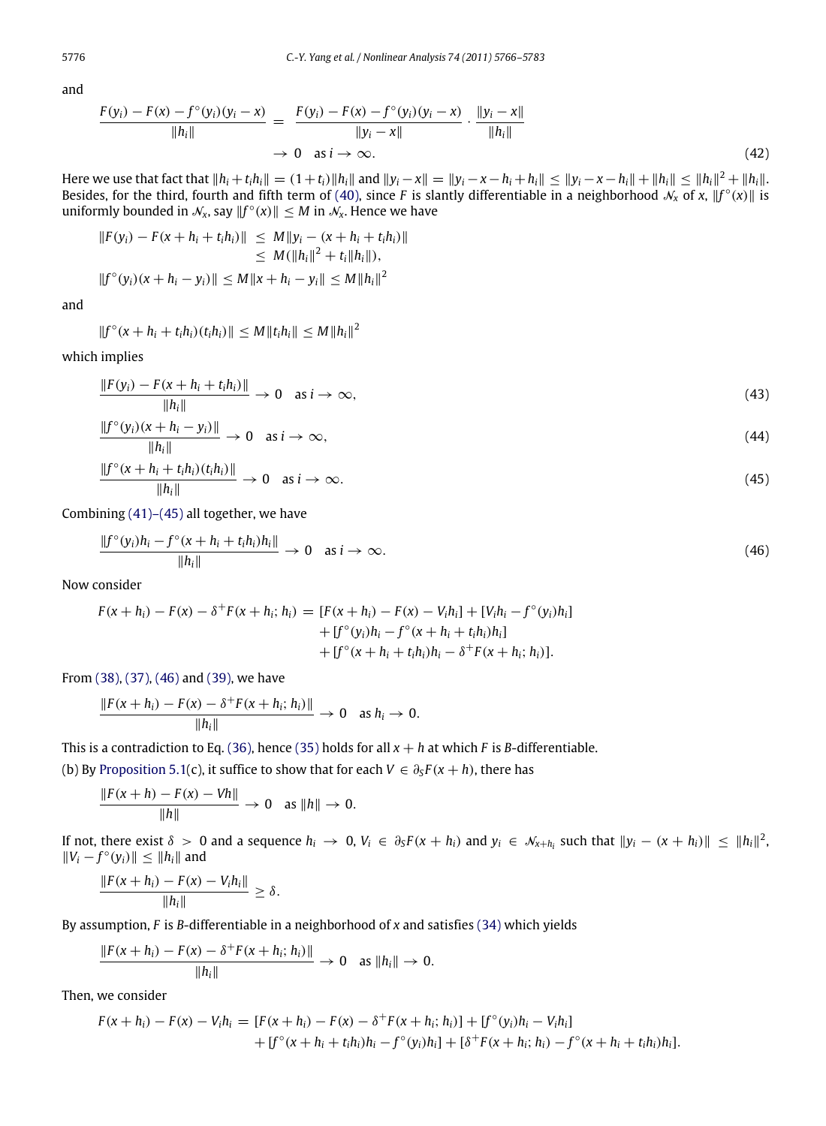and

$$
\frac{F(y_i) - F(x) - f^{\circ}(y_i)(y_i - x)}{\|h_i\|} = \frac{F(y_i) - F(x) - f^{\circ}(y_i)(y_i - x)}{\|y_i - x\|} \cdot \frac{\|y_i - x\|}{\|h_i\|}
$$
\n
$$
\to 0 \quad \text{as } i \to \infty.
$$
\n(42)

Here we use that fact that  $||h_i + t_i h_i|| = (1 + t_i)||h_i||$  and  $||y_i - x|| = ||y_i - x - h_i + h_i|| \le ||y_i - x - h_i|| + ||h_i|| \le ||h_i||^2 + ||h_i||$ . Besides, for the third, fourth and fifth term of [\(40\),](#page-9-1) since *F* is slantly differentiable in a neighborhood  $\mathcal{N}_x$  of x,  $||f^\circ(x)||$  is uniformly bounded in  $\mathcal{N}_x$ , say  $||f^\circ(x)|| \leq M$  in  $\mathcal{N}_x$ . Hence we have

$$
||F(y_i) - F(x + h_i + t_i h_i)|| \leq M ||y_i - (x + h_i + t_i h_i)||
$$
  
\n
$$
\leq M(||h_i||^2 + t_i ||h_i||),
$$
  
\n
$$
||f^{\circ}(y_i)(x + h_i - y_i)|| \leq M ||x + h_i - y_i|| \leq M ||h_i||^2
$$

and

$$
||f^{\circ}(x+h_i+t_ih_i)(t_ih_i)|| \leq M||t_ih_i|| \leq M||h_i||^2
$$

which implies

$$
\frac{\|F(y_i) - F(x + h_i + t_i h_i)\|}{\|h_i\|} \to 0 \quad \text{as } i \to \infty,
$$
\n(43)

$$
\frac{\|f^{\circ}(y_i)(x+h_i-y_i)\|}{\|h_i\|} \to 0 \quad \text{as } i \to \infty,
$$
\n(44)

$$
\frac{\|f^{\circ}(x+h_i+t_ih_i)(t_ih_i)\|}{\|h_i\|}\to 0 \quad \text{as } i\to\infty.
$$
\n(45)

Combining [\(41\)–\(45\)](#page-9-2) all together, we have

<span id="page-10-0"></span>
$$
\frac{\|f^{\circ}(y_i)h_i - f^{\circ}(x + h_i + t_i h_i)h_i\|}{\|h_i\|} \to 0 \quad \text{as } i \to \infty.
$$
\n(46)

Now consider

$$
F(x + h_i) - F(x) - \delta^+ F(x + h_i; h_i) = [F(x + h_i) - F(x) - V_i h_i] + [V_i h_i - f^{\circ}(y_i) h_i] + [f^{\circ}(y_i) h_i - f^{\circ}(x + h_i + t_i h_i) h_i] + [f^{\circ}(x + h_i + t_i h_i) h_i - \delta^+ F(x + h_i; h_i)].
$$

From [\(38\),](#page-9-3) [\(37\),](#page-9-4) [\(46\)](#page-10-0) and [\(39\),](#page-9-5) we have

$$
\frac{\|F(x+h_i)-F(x)-\delta^+F(x+h_i;h_i)\|}{\|h_i\|}\to 0 \quad \text{as } h_i\to 0.
$$

This is a contradiction to Eq. [\(36\),](#page-9-6) hence [\(35\)](#page-9-7) holds for all  $x + h$  at which *F* is *B*-differentiable.

(b) By [Proposition 5.1\(](#page-8-1)c), it suffice to show that for each  $V \in \partial_S F(x+h)$ , there has

$$
\frac{\|F(x+h) - F(x) - Vh\|}{\|h\|} \to 0 \text{ as } \|h\| \to 0.
$$

If not, there exist  $\delta > 0$  and a sequence  $h_i \to 0$ ,  $V_i \in \partial_S F(x + h_i)$  and  $y_i \in \mathcal{N}_{x + h_i}$  such that  $||y_i - (x + h_i)|| \leq ||h_i||^2$ ,  $||V_i - f^\circ(y_i)||$  ≤  $||h_i||$  and

$$
\frac{\|F(x+h_i)-F(x)-V_ih_i\|}{\|h_i\|}\geq \delta.
$$

By assumption, *F* is *B*-differentiable in a neighborhood of *x* and satisfies [\(34\)](#page-9-0) which yields

$$
\frac{\|F(x+h_i)-F(x)-\delta^+ F(x+h_i;h_i)\|}{\|h_i\|}\to 0 \text{ as } \|h_i\|\to 0.
$$

Then, we consider

$$
F(x + h_i) - F(x) - V_i h_i = [F(x + h_i) - F(x) - \delta^+ F(x + h_i; h_i)] + [f^{\circ}(y_i)h_i - V_ih_i] + [f^{\circ}(x + h_i + t_ih_i)h_i - f^{\circ}(y_i)h_i] + [\delta^+ F(x + h_i; h_i) - f^{\circ}(x + h_i + t_ih_i)h_i].
$$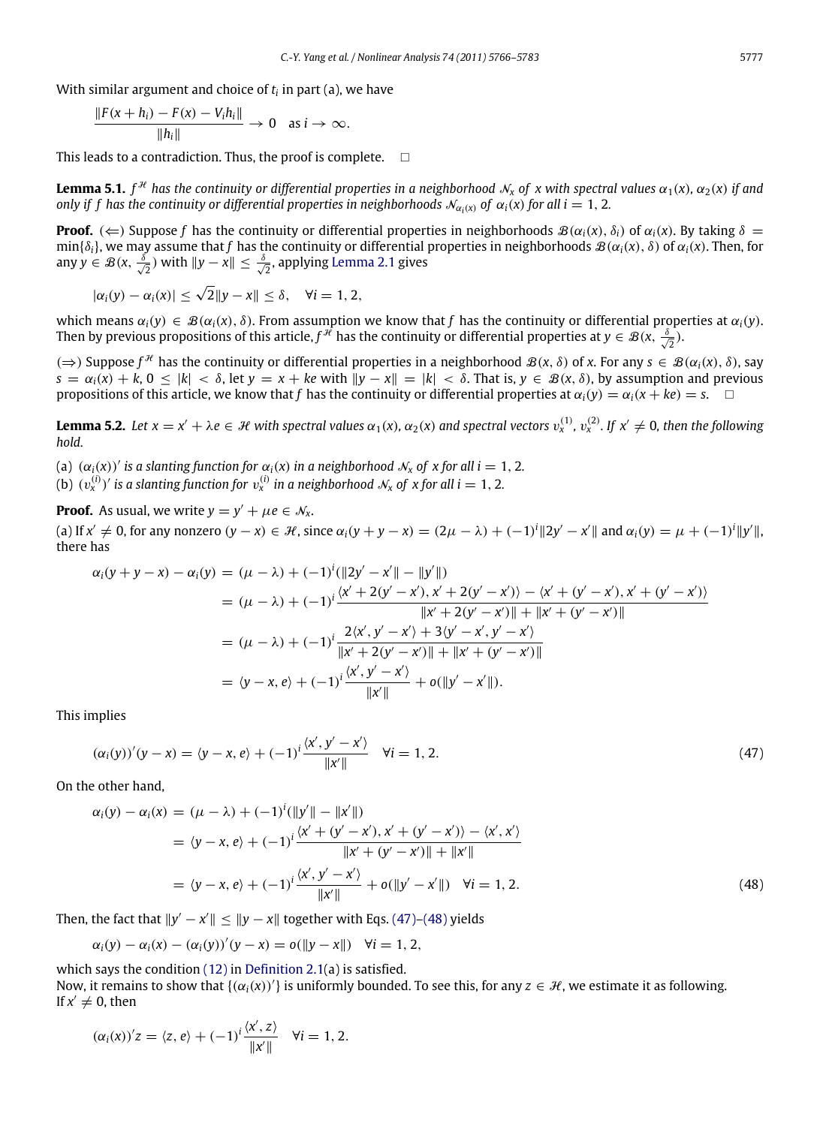With similar argument and choice of *t<sup>i</sup>* in part (a), we have

$$
\frac{\|F(x+h_i)-F(x)-V_ih_i\|}{\|h_i\|}\to 0 \quad \text{as } i\to\infty.
$$

This leads to a contradiction. Thus, the proof is complete.  $\Box$ 

<span id="page-11-3"></span>**Lemma 5.1.**  $f^{\mathcal{H}}$  has the continuity or differential properties in a neighborhood  $\mathcal{N}_x$  of  $x$  with spectral values  $\alpha_1(x)$ ,  $\alpha_2(x)$  if and *only if f has the continuity or differential properties in neighborhoods*  $\mathcal{N}_{\alpha_i(x)}$  *of*  $\alpha_i(x)$  *for all*  $i = 1, 2$ *.* 

**Proof.** ( $\Leftarrow$ ) Suppose *f* has the continuity or differential properties in neighborhoods  $\mathcal{B}(\alpha_i(x), \delta_i)$  of  $\alpha_i(x)$ . By taking  $\delta =$ min{δ*i*}, we may assume that *f* has the continuity or differential properties in neighborhoods B(α*i*(*x*), δ) of α*i*(*x*). Then, for any  $y \in \mathcal{B}(\mathsf{x}, \frac{\delta}{\sqrt{\mathsf{x}}})$  $\frac{1}{2}$ ) with  $||y - x||$  ≤  $\frac{\delta}{\sqrt{2}}$  $\frac{1}{2}$ , applying [Lemma 2.1](#page-2-2) gives

 $|\alpha_i(y) - \alpha_i(x)| \leq \sqrt{2} \|y - x\| \leq \delta, \quad \forall i = 1, 2,$ 

which means  $\alpha_i(y) \in \mathcal{B}(\alpha_i(x), \delta)$ . From assumption we know that f has the continuity or differential properties at  $\alpha_i(y)$ . Then by previous propositions of this article,  $f^{j\ell}$  has the continuity or differential properties at  $y\in\mathcal{B}(x,\frac{\delta}{\ell})$  $\frac{1}{2}$ ).

(⇒) Suppose  $f^{\mathcal{H}}$  has the continuity or differential properties in a neighborhood  $\mathcal{B}(x, \delta)$  of *x*. For any *s* ∈  $\mathcal{B}(\alpha_i(x), \delta)$ , say  $s = \alpha_i(x) + k$ ,  $0 \le |k| \le \delta$ , let  $\gamma = x + ke$  with  $\|\gamma - x\| = |k| \le \delta$ . That is,  $\gamma \in \mathcal{B}(x, \delta)$ , by assumption and previous propositions of this article, we know that *f* has the continuity or differential properties at  $\alpha_i(y) = \alpha_i(x + ke) = s$ .  $\Box$ 

<span id="page-11-2"></span>**Lemma 5.2.** Let  $x = x' + \lambda e \in H$  with spectral values  $\alpha_1(x)$ ,  $\alpha_2(x)$  and spectral vectors  $v_x^{(1)}$ ,  $v_x^{(2)}$ . If  $x' \neq 0$ , then the following *hold.*

(a)  $(\alpha_i(x))'$  *is a slanting function for*  $\alpha_i(x)$  *in a neighborhood*  $\mathcal{N}_x$  *of* x *for all i* = 1, 2*.* 

(b)  $(v_x^{(i)})'$  is a slanting function for  $v_x^{(i)}$  in a neighborhood  $\mathcal{N}_x$  of  $x$  for all  $i = 1, 2$ .

**Proof.** As usual, we write  $y = y' + \mu e \in \mathcal{N}_x$ .

(a) If  $x' \neq 0$ , for any nonzero  $(y - x) \in \mathcal{H}$ , since  $\alpha_i(y + y - x) = (2\mu - \lambda) + (-1)^i ||2y' - x'||$  and  $\alpha_i(y) = \mu + (-1)^i ||y'||$ , there has

$$
\alpha_i(y + y - x) - \alpha_i(y) = (\mu - \lambda) + (-1)^i (||2y' - x'|| - ||y'||)
$$
  
\n
$$
= (\mu - \lambda) + (-1)^i \frac{\langle x' + 2(y' - x'), x' + 2(y' - x') \rangle - \langle x' + (y' - x'), x' + (y' - x') \rangle}{||x' + 2(y' - x')|| + ||x' + (y' - x')||}
$$
  
\n
$$
= (\mu - \lambda) + (-1)^i \frac{2\langle x', y' - x' \rangle + 3\langle y' - x', y' - x' \rangle}{||x' + 2(y' - x')|| + ||x' + (y' - x')||}
$$
  
\n
$$
= (y - x, e) + (-1)^i \frac{\langle x', y' - x' \rangle}{||x'||} + o(||y' - x'||).
$$

This implies

<span id="page-11-0"></span>
$$
(\alpha_i(y))'(y-x) = \langle y-x, e \rangle + (-1)^i \frac{\langle x', y'-x' \rangle}{\|x'\|} \quad \forall i = 1, 2. \tag{47}
$$

On the other hand,

<span id="page-11-1"></span>
$$
\alpha_i(y) - \alpha_i(x) = (\mu - \lambda) + (-1)^i (\|y'\| - \|x'\|)
$$
  
=  $\langle y - x, e \rangle + (-1)^i \frac{\langle x' + (y' - x'), x' + (y' - x') \rangle - \langle x', x' \rangle}{\|x' + (y' - x')\| + \|x'\|}$   
=  $\langle y - x, e \rangle + (-1)^i \frac{\langle x', y' - x' \rangle}{\|x'\|} + o(\|y' - x'\|)$   $\forall i = 1, 2.$  (48)

Then, the fact that  $||y' - x'|| \le ||y - x||$  together with Eqs. [\(47\)](#page-11-0)[–\(48\)](#page-11-1) yields

$$
\alpha_i(y) - \alpha_i(x) - (\alpha_i(y))'(y - x) = o(||y - x||) \quad \forall i = 1, 2,
$$

which says the condition [\(12\)](#page-3-2) in [Definition 2.1\(](#page-3-3)a) is satisfied.

Now, it remains to show that  $\{(a_i(x))'\}$  is uniformly bounded. To see this, for any  $z\in\mathcal{H}$ , we estimate it as following. If  $x' \neq 0$ , then

$$
(\alpha_i(x))'z = \langle z, e \rangle + (-1)^i \frac{\langle x', z \rangle}{\|x'\|} \quad \forall i = 1, 2.
$$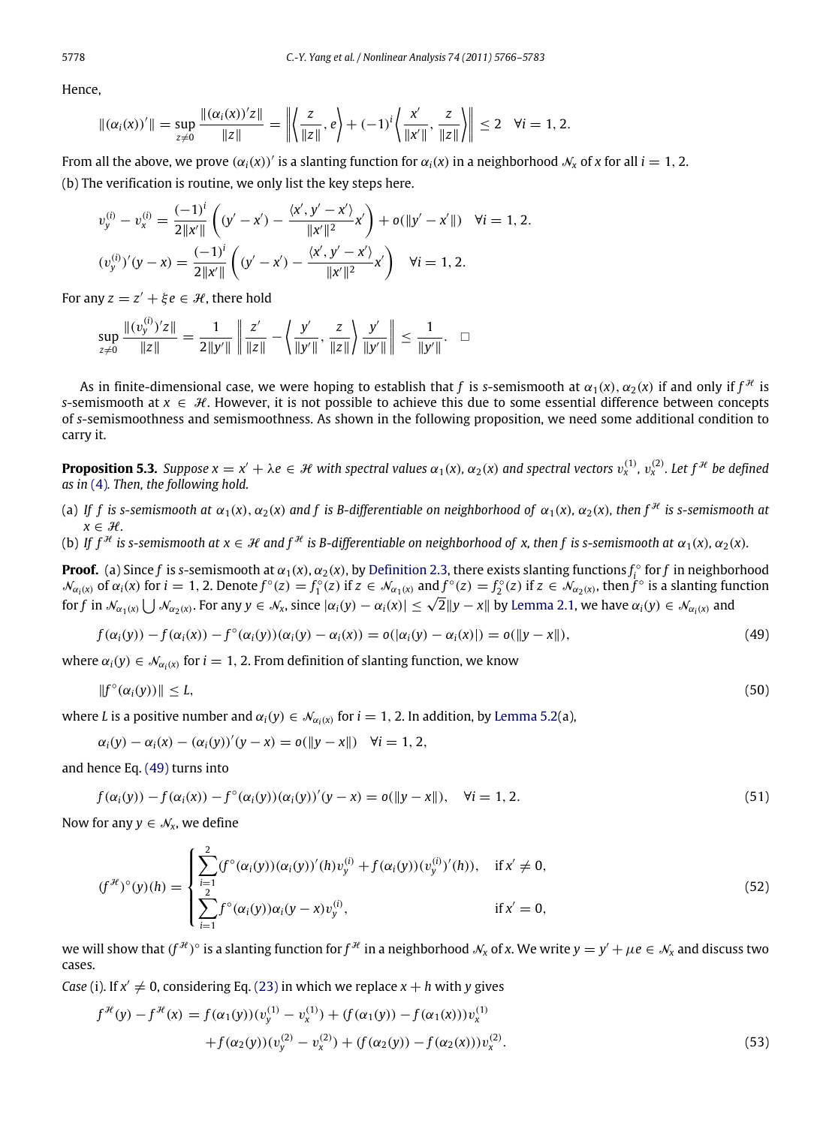Hence,

$$
\|(\alpha_i(x))'\| = \sup_{z \neq 0} \frac{\|(\alpha_i(x))'z\|}{\|z\|} = \left\| \left\langle \frac{z}{\|z\|}, e \right\rangle + (-1)^i \left\langle \frac{x'}{\|x'\|}, \frac{z}{\|z\|} \right\rangle \right\| \leq 2 \quad \forall i = 1, 2.
$$

From all the above, we prove  $(\alpha_i(x))'$  is a slanting function for  $\alpha_i(x)$  in a neighborhood  $\mathcal{N}_x$  of x for all  $i = 1, 2$ . (b) The verification is routine, we only list the key steps here.

$$
v_y^{(i)} - v_x^{(i)} = \frac{(-1)^i}{2\|x'\|} \left( (y' - x') - \frac{\langle x', y' - x' \rangle}{\|x'\|^2} x' \right) + o(\|y' - x'\|) \quad \forall i = 1, 2.
$$
  

$$
(v_y^{(i)})'(y - x) = \frac{(-1)^i}{2\|x'\|} \left( (y' - x') - \frac{\langle x', y' - x' \rangle}{\|x'\|^2} x' \right) \quad \forall i = 1, 2.
$$

For any  $z = z' + \xi e \in \mathcal{H}$ , there hold

$$
\sup_{z\neq 0}\frac{\|(v^{(i)}_y)'z\|}{\|z\|}=\frac{1}{2\|y'\|}\left\|\frac{z'}{\|z\|}-\left\langle\frac{y'}{\|y'\|},\frac{z}{\|z\|}\right\rangle\frac{y'}{\|y'\|}\right\|\leq \frac{1}{\|y'\|}. \quad \Box
$$

As in finite-dimensional case, we were hoping to establish that  $f$  is s-semismooth at  $\alpha_1(x),\alpha_2(x)$  if and only if  $f^\mathcal{H}$  is *s*-semismooth at  $x \in \mathcal{H}$ . However, it is not possible to achieve this due to some essential difference between concepts of *s*-semismoothness and semismoothness. As shown in the following proposition, we need some additional condition to carry it.

**Proposition 5.3.** Suppose  $x = x' + \lambda e \in H$  with spectral values  $\alpha_1(x)$ ,  $\alpha_2(x)$  and spectral vectors  $v_x^{(1)}$ ,  $v_x^{(2)}$ . Let  $f^{\#}$  be defined *as in* [\(4\)](#page-1-0)*. Then, the following hold.*

- (a) If f is s-semismooth at  $\alpha_1(x)$ ,  $\alpha_2(x)$  and f is B-differentiable on neighborhood of  $\alpha_1(x)$ ,  $\alpha_2(x)$ , then  $f^{\mathcal{H}}$  is s-semismooth at  $x \in \mathcal{H}$ .
- (b) If  $f^{\mathcal{H}}$  is s-semismooth at  $x \in \mathcal{H}$  and  $f^{\mathcal{H}}$  is B-differentiable on neighborhood of x, then f is s-semismooth at  $\alpha_1(x), \alpha_2(x)$ .

**Proof.** (a) Since *f* is *s*-semismooth at  $\alpha_1(x)$ ,  $\alpha_2(x)$ , by [Definition 2.3,](#page-3-1) there exists slanting functions  $f_i^{\circ}$  for *f* in neighborhood  $\mathcal{N}_{\alpha_1(x)}$  of  $\alpha_1(x)$  for  $i = 1, 2$ . Denote  $f^{\circ}(z) = f_1^{\circ}(z)$  if  $z \in \mathcal{N}_{\alpha_1(x)}$  and  $f^{\circ}(z) = f_2^{\circ}(z)$  if  $z \in \mathcal{N}_{\alpha_2(x)}$ , then  $f^{\circ}$  is a slanting function  $\mathcal{N}_{\alpha_1(x)}$  or  $\alpha_i(x)$  for  $i = 1, 2$ . Denote  $f'(z) = f_1(z)$  if  $z \in \mathcal{N}_{\alpha_1(x)}$  and  $f'(z) = f_2(z)$  if  $z \in \mathcal{N}_{\alpha_2(x)}$ , then  $f'$  is a stanting runder  $f$  in  $\mathcal{N}_{\alpha_1(x)} \bigcup \mathcal{N}_{\alpha_2(x)}$ . For any  $y \in \mathcal{N}_x$ , since  $|\alpha$ 

<span id="page-12-0"></span>
$$
f(\alpha_i(y)) - f(\alpha_i(x)) - f^{\circ}(\alpha_i(y))(\alpha_i(y) - \alpha_i(x)) = o(|\alpha_i(y) - \alpha_i(x)|) = o(||y - x||),
$$
\n(49)

where  $\alpha_i(y) \in \mathcal{N}_{\alpha_i(x)}$  for  $i = 1, 2$ . From definition of slanting function, we know

<span id="page-12-2"></span>
$$
||f^{\circ}(\alpha_i(y))|| \leq L,\tag{50}
$$

where *L* is a positive number and  $\alpha_i(y) \in \mathcal{N}_{\alpha_i(x)}$  for  $i = 1, 2$ . In addition, by [Lemma 5.2\(](#page-11-2)a),

$$
\alpha_i(y) - \alpha_i(x) - (\alpha_i(y))'(y - x) = o(||y - x||) \quad \forall i = 1, 2,
$$

and hence Eq. [\(49\)](#page-12-0) turns into

<span id="page-12-3"></span>
$$
f(\alpha_i(y)) - f(\alpha_i(x)) - f^{\circ}(\alpha_i(y))(\alpha_i(y))'(y - x) = o(||y - x||), \quad \forall i = 1, 2.
$$
\n(51)

Now for any  $y \in \mathcal{N}_x$ , we define

$$
(f^{H})^{\circ}(y)(h) = \begin{cases} \sum_{i=1}^{2} (f^{\circ}(\alpha_{i}(y))(\alpha_{i}(y))'(h)v_{y}^{(i)} + f(\alpha_{i}(y))(v_{y}^{(i)})'(h)), & \text{if } x' \neq 0, \\ \sum_{i=1}^{2} f^{\circ}(\alpha_{i}(y))\alpha_{i}(y-x)v_{y}^{(i)}, & \text{if } x'=0, \end{cases}
$$
\n(52)

we will show that  $(f^{\mathcal{H}})^\circ$  is a slanting function for  $f^{\mathcal{H}}$  in a neighborhood  $\mathcal{N}_x$  of x. We write  $y = y' + \mu e \in \mathcal{N}_x$  and discuss two cases.

*Case* (i). If  $x' \neq 0$ , considering Eq. [\(23\)](#page-6-0) in which we replace  $x + h$  with *y* gives

<span id="page-12-1"></span>
$$
f^{\mathcal{H}}(y) - f^{\mathcal{H}}(x) = f(\alpha_1(y))(v_y^{(1)} - v_x^{(1)}) + (f(\alpha_1(y)) - f(\alpha_1(x)))v_x^{(1)} + f(\alpha_2(y))(v_y^{(2)} - v_x^{(2)}) + (f(\alpha_2(y)) - f(\alpha_2(x)))v_x^{(2)}.
$$
\n(53)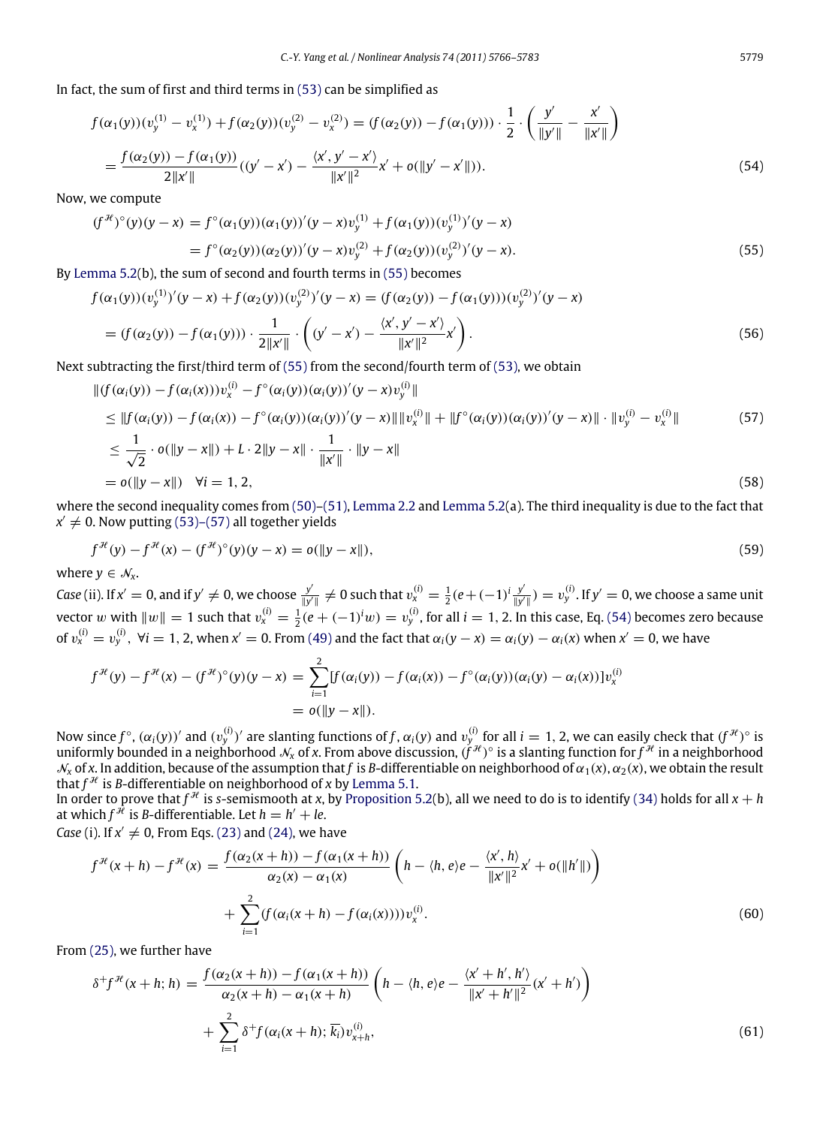In fact, the sum of first and third terms in [\(53\)](#page-12-1) can be simplified as

$$
f(\alpha_1(y)) (v_y^{(1)} - v_x^{(1)}) + f(\alpha_2(y)) (v_y^{(2)} - v_x^{(2)}) = (f(\alpha_2(y)) - f(\alpha_1(y))) \cdot \frac{1}{2} \cdot \left(\frac{y'}{\|y'\|} - \frac{x'}{\|x'\|}\right)
$$
  
= 
$$
\frac{f(\alpha_2(y)) - f(\alpha_1(y))}{2\|x'\|} ((y' - x') - \frac{\langle x', y' - x' \rangle}{\|x'\|^2} x' + o(\|y' - x'\|)).
$$
 (54)

√ *′* 

<span id="page-13-1"></span><span id="page-13-0"></span>′

Now, we compute

$$
(f^{\mathcal{H}})^{\circ}(y)(y-x) = f^{\circ}(\alpha_1(y))(\alpha_1(y))'(y-x)v_y^{(1)} + f(\alpha_1(y))(v_y^{(1)})'(y-x)
$$
  
= 
$$
f^{\circ}(\alpha_2(y))(\alpha_2(y))'(y-x)v_y^{(2)} + f(\alpha_2(y))(v_y^{(2)})'(y-x).
$$
 (55)

By [Lemma 5.2\(](#page-11-2)b), the sum of second and fourth terms in [\(55\)](#page-13-0) becomes

$$
f(\alpha_1(y)) (v_y^{(1)})'(y-x) + f(\alpha_2(y)) (v_y^{(2)})'(y-x) = (f(\alpha_2(y)) - f(\alpha_1(y)))(v_y^{(2)})'(y-x)
$$
  
=  $(f(\alpha_2(y)) - f(\alpha_1(y))) \cdot \frac{1}{2||x'||} \cdot \left( (y' - x') - \frac{\langle x', y' - x' \rangle}{||x'||^2} x' \right).$  (56)

Next subtracting the first/third term of [\(55\)](#page-13-0) from the second/fourth term of [\(53\),](#page-12-1) we obtain

$$
\| (f(\alpha_i(y)) - f(\alpha_i(x)))v_x^{(i)} - f^{\circ}(\alpha_i(y))(\alpha_i(y))'(y - x)v_y^{(i)} \|
$$
\n
$$
\leq \| f(\alpha_i(y)) - f(\alpha_i(x)) - f^{\circ}(\alpha_i(y))(\alpha_i(y))'(y - x) \| \| v_x^{(i)} \| + \| f^{\circ}(\alpha_i(y))(\alpha_i(y))'(y - x) \| \cdot \| v_y^{(i)} - v_x^{(i)} \|
$$
\n
$$
\leq \frac{1}{\sqrt{2}} \cdot o(\|y - x\|) + L \cdot 2 \|y - x\| \cdot \frac{1}{\|x'\|} \cdot \|y - x\|
$$
\n
$$
= o(\|y - x\|) \quad \forall i = 1, 2,
$$
\n(58)

where the second inequality comes from  $(50)$ – $(51)$ , [Lemma 2.2](#page-2-3) and [Lemma 5.2\(](#page-11-2)a). The third inequality is due to the fact that  $x' \neq 0$ . Now putting [\(53\)–\(57\)](#page-12-1) all together yields

$$
f^{\mathcal{H}}(y) - f^{\mathcal{H}}(x) - (f^{\mathcal{H}})^{\circ}(y)(y - x) = o(||y - x||),
$$
\n(59)

where  $y \in \mathcal{N}_x$ .

*Case* (ii). If  $x' = 0$ , and if  $y' \neq 0$ , we choose  $\frac{y'}{\frac{y}{y'}}$  $\frac{y'}{\|y'\|}$  ≠ 0 such that  $v_x^{(i)} = \frac{1}{2}(e + (-1)^i \frac{y'}{\|y'\|})$  $\frac{y'}{\|y'\|}$ ) =  $v^{(i)}_y$ . If  $y'=0$ , we choose a same unit vector w with  $||w|| = 1$  such that  $v_x^{(i)} = \frac{1}{2}(e + (-1)^i w) = v_y^{(i)}$ , for all  $i = 1, 2$ . In this case, Eq. [\(54\)](#page-13-1) becomes zero because of  $v_x^{(i)} = v_y^{(i)}$ ,  $\forall i = 1, 2$ , when  $x' = 0$ . From [\(49\)](#page-12-0) and the fact that  $\alpha_i(y - x) = \alpha_i(y) - \alpha_i(x)$  when  $x' = 0$ , we have

$$
f^{\mathcal{H}}(y) - f^{\mathcal{H}}(x) - (f^{\mathcal{H}})^{\circ}(y)(y - x) = \sum_{i=1}^{2} [f(\alpha_i(y)) - f(\alpha_i(x)) - f^{\circ}(\alpha_i(y))(\alpha_i(y) - \alpha_i(x))]v_x^{(i)}
$$
  
=  $o(||y - x||)$ .

Now since  $f^\circ$ ,  $(\alpha_i(y))'$  and  $(v_y^{(i)})'$  are slanting functions of f,  $\alpha_i(y)$  and  $v_y^{(i)}$  for all  $i=1,2$ , we can easily check that  $(f^{\mathcal{H}})^\circ$  is uniformly bounded in a neighborhood  $N_x$  of x. From above discussion,  $(\hat{f}^{\mathcal{H}})^\circ$  is a slanting function for  $\hat{f}^\mathcal{H}$  in a neighborhood  $\mathcal{N}_x$  of x. In addition, because of the assumption that *f* is *B*-differentiable on neighborhood of  $\alpha_1(x)$ ,  $\alpha_2(x)$ , we obtain the result that  $f^{\mathcal{H}}$  is *B*-differentiable on neighborhood of *x* by [Lemma 5.1.](#page-11-3)

In order to prove that  $f^{\mathcal{H}}$  is *s*-semismooth at *x*, by [Proposition 5.2\(](#page-9-8)b), all we need to do is to identify [\(34\)](#page-9-0) holds for all  $x + h$ at which  $f^{\hat{\mathcal{H}}}$  is *B*-differentiable. Let  $h = h' + le$ .

*Case* (i). If  $x' \neq 0$ , From Eqs. [\(23\)](#page-6-0) and [\(24\),](#page-6-2) we have

<span id="page-13-2"></span>
$$
f^{\mathcal{H}}(x+h) - f^{\mathcal{H}}(x) = \frac{f(\alpha_2(x+h)) - f(\alpha_1(x+h))}{\alpha_2(x) - \alpha_1(x)} \left( h - \langle h, e \rangle e - \frac{\langle x', h \rangle}{\|x'\|^2} x' + o(\|h'\|) \right) + \sum_{i=1}^2 (f(\alpha_i(x+h) - f(\alpha_i(x))))v_x^{(i)}.
$$
 (60)

From [\(25\),](#page-6-1) we further have

<span id="page-13-3"></span>
$$
\delta^{+} f^{\mathcal{H}}(x+h;h) = \frac{f(\alpha_{2}(x+h)) - f(\alpha_{1}(x+h))}{\alpha_{2}(x+h) - \alpha_{1}(x+h)} \left(h - \langle h, e \rangle e - \frac{\langle x' + h', h' \rangle}{\|x' + h'\|^2}(x' + h')\right) + \sum_{i=1}^{2} \delta^{+} f(\alpha_{i}(x+h); \overline{k_{i}}) v_{x+h}^{(i)},
$$
\n(61)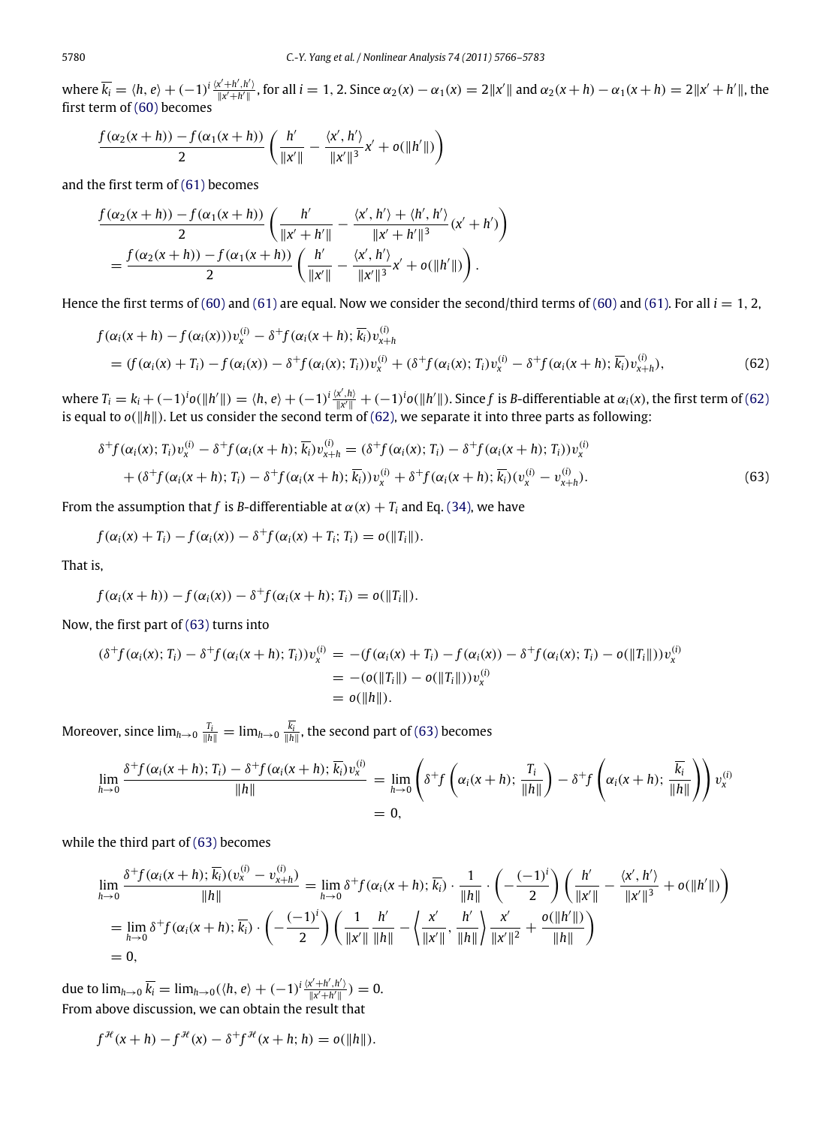where  $\overline{k_i} = \langle h, e \rangle + (-1)^i \frac{\langle x' + h', h' \rangle}{\|x' + h'\|}$ , for all  $i = 1, 2$ . Since  $\alpha_2(x) - \alpha_1(x) = 2\|x'\|$  and  $\alpha_2(x + h) - \alpha_1(x + h) = 2\|x' + h'\|$ , the first term of [\(60\)](#page-13-2) becomes

$$
\frac{f(\alpha_2(x+h)) - f(\alpha_1(x+h))}{2} \left( \frac{h'}{\|x'\|} - \frac{\langle x', h' \rangle}{\|x'\|^3} x' + o(\|h'\|) \right)
$$

and the first term of [\(61\)](#page-13-3) becomes

$$
\frac{f(\alpha_2(x+h)) - f(\alpha_1(x+h))}{2} \left( \frac{h'}{\|x'+h'\|} - \frac{\langle x', h' \rangle + \langle h', h' \rangle}{\|x'+h'\|^3} (x'+h') \right)
$$
  
= 
$$
\frac{f(\alpha_2(x+h)) - f(\alpha_1(x+h))}{2} \left( \frac{h'}{\|x'\|} - \frac{\langle x', h' \rangle}{\|x'\|^3} x' + o(\|h'\|) \right).
$$

Hence the first terms of [\(60\)](#page-13-2) and [\(61\)](#page-13-3) are equal. Now we consider the second/third terms of (60) and [\(61\).](#page-13-3) For all  $i = 1, 2$ ,

<span id="page-14-0"></span>
$$
f(\alpha_i(x+h) - f(\alpha_i(x)))v_x^{(i)} - \delta^+ f(\alpha_i(x+h); \overline{k_i})v_{x+h}^{(i)}
$$
  
=  $(f(\alpha_i(x) + T_i) - f(\alpha_i(x)) - \delta^+ f(\alpha_i(x); T_i)v_x^{(i)} + (\delta^+ f(\alpha_i(x); T_i)v_x^{(i)} - \delta^+ f(\alpha_i(x+h); \overline{k_i})v_{x+h}^{(i)}),$  (62)

where  $T_i = k_i + (-1)^i o(\|h'\|) = \langle h, e \rangle + (-1)^i \frac{\langle x', h \rangle}{\|x'\|} + (-1)^i o(\|h'\|)$ . Since f is B-differentiable at  $\alpha_i(x)$ , the first term of [\(62\)](#page-14-0) is equal to *o*(‖*h*‖). Let us consider the second term of [\(62\),](#page-14-0) we separate it into three parts as following:

<span id="page-14-1"></span>
$$
\delta^+ f(\alpha_i(x); T_i) v_x^{(i)} - \delta^+ f(\alpha_i(x+h); \overline{k_i}) v_{x+h}^{(i)} = (\delta^+ f(\alpha_i(x); T_i) - \delta^+ f(\alpha_i(x+h); T_i)) v_x^{(i)} + (\delta^+ f(\alpha_i(x+h); T_i) - \delta^+ f(\alpha_i(x+h); \overline{k_i})) v_x^{(i)} + \delta^+ f(\alpha_i(x+h); \overline{k_i}) (v_x^{(i)} - v_{x+h}^{(i)}).
$$
(63)

From the assumption that *f* is *B*-differentiable at  $\alpha(x) + T_i$  and Eq. [\(34\),](#page-9-0) we have

$$
f(\alpha_i(x) + T_i) - f(\alpha_i(x)) - \delta^+ f(\alpha_i(x) + T_i; T_i) = o(||T_i||).
$$

That is,

$$
f(\alpha_i(x+h)) - f(\alpha_i(x)) - \delta^+ f(\alpha_i(x+h);T_i) = o(||T_i||).
$$

Now, the first part of [\(63\)](#page-14-1) turns into

$$
(\delta^+ f(\alpha_i(x); T_i) - \delta^+ f(\alpha_i(x+h); T_i)) v_x^{(i)} = -(f(\alpha_i(x) + T_i) - f(\alpha_i(x)) - \delta^+ f(\alpha_i(x); T_i) - o(\|T_i\|)) v_x^{(i)}
$$
  
= - (o(\|T\_i\|) - o(\|T\_i\|)) v\_x^{(i)}  
= o(\|h\|).

Moreover, since  $\lim_{h\to 0} \frac{T_i}{\|h\|} = \lim_{h\to 0} \frac{k_i}{\|h\|}$ , the second part of [\(63\)](#page-14-1) becomes

$$
\lim_{h \to 0} \frac{\delta^+ f(\alpha_i(x+h); T_i) - \delta^+ f(\alpha_i(x+h); \overline{k_i}) v_x^{(i)}}{\|h\|} = \lim_{h \to 0} \left( \delta^+ f\left(\alpha_i(x+h); \frac{T_i}{\|h\|}\right) - \delta^+ f\left(\alpha_i(x+h); \frac{\overline{k_i}}{\|h\|}\right) \right) v_x^{(i)}
$$
\n
$$
= 0,
$$

while the third part of [\(63\)](#page-14-1) becomes

$$
\lim_{h \to 0} \frac{\delta^+ f(\alpha_i(x+h); \overline{k_i})(v_x^{(i)} - v_{x+h}^{(i)})}{\|h\|} = \lim_{h \to 0} \delta^+ f(\alpha_i(x+h); \overline{k_i}) \cdot \frac{1}{\|h\|} \cdot \left(-\frac{(-1)^i}{2}\right) \left(\frac{h'}{\|x'\|} - \frac{\langle x', h' \rangle}{\|x'\|^3} + o(\|h'\|)\right)
$$
\n
$$
= \lim_{h \to 0} \delta^+ f(\alpha_i(x+h); \overline{k_i}) \cdot \left(-\frac{(-1)^i}{2}\right) \left(\frac{1}{\|x'\|} \frac{h'}{\|h\|} - \left\langle \frac{x'}{\|x'\|}, \frac{h'}{\|h\|} \right\rangle \frac{x'}{\|x'\|^2} + \frac{o(\|h'\|)}{\|h\|}\right)
$$
\n
$$
= 0,
$$

due to  $\lim_{h\to 0} \overline{k_i} = \lim_{h\to 0} (\langle h, e \rangle + (-1)^i \frac{\langle x' + h', h' \rangle}{\|x' + h'\|}) = 0.$ From above discussion, we can obtain the result that

$$
f^{\mathcal{H}}(x+h) - f^{\mathcal{H}}(x) - \delta^{+} f^{\mathcal{H}}(x+h; h) = o(||h||).
$$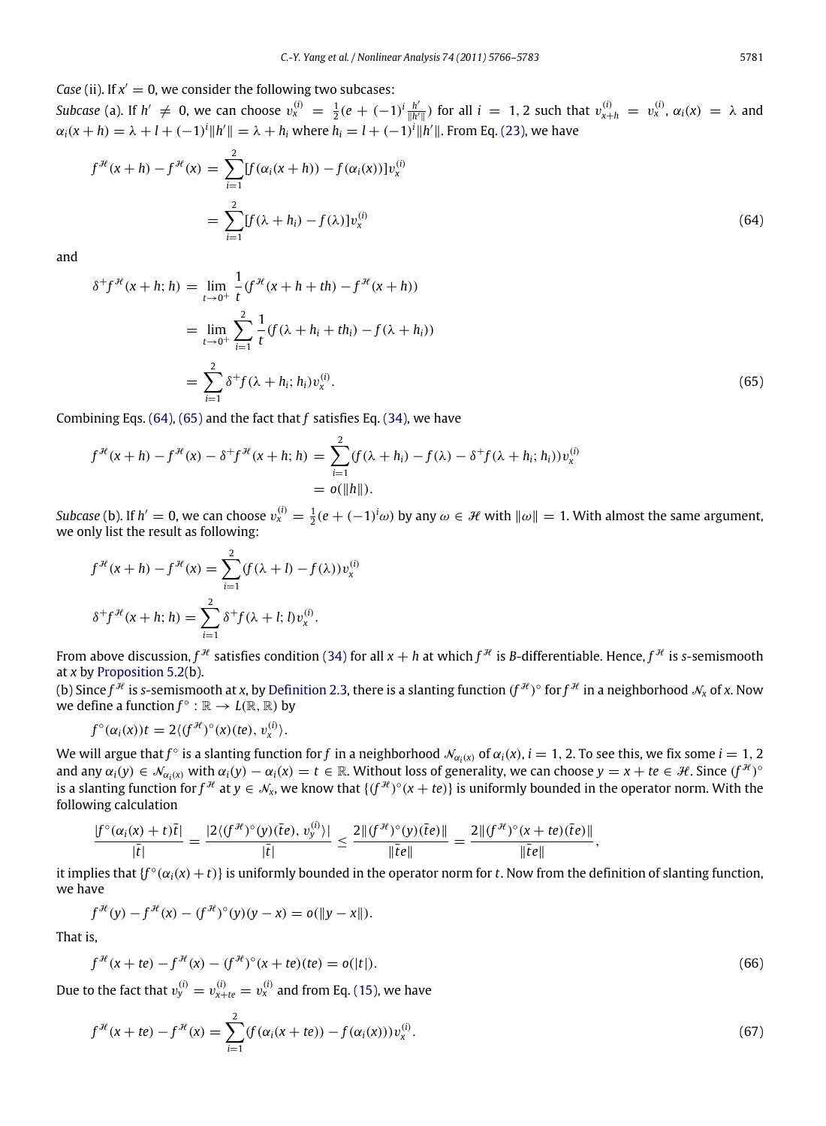*Case* (ii). If  $x' = 0$ , we consider the following two subcases:

*Subcase* (a). If  $h' \neq 0$ , we can choose  $v_x^{(i)} = \frac{1}{2}(e + (-1)^i \frac{h'}{\|h'\|}$  $\frac{h'}{\|h'\|}$ ) for all *i* = 1, 2 such that  $v_{x+h}^{(i)} = v_x^{(i)}$ , α<sub>*i*</sub>(*x*) = λ and  $\alpha_i(x+h) = \lambda + l + (-1)^i \|h'\| = \lambda + h_i$  where  $h_i = l + (-1)^i \|h'\|$ . From Eq. [\(23\),](#page-6-0) we have

$$
f^{\mathcal{H}}(x+h) - f^{\mathcal{H}}(x) = \sum_{i=1}^{2} [f(\alpha_i(x+h)) - f(\alpha_i(x))]v_x^{(i)}
$$
  

$$
= \sum_{i=1}^{2} [f(\lambda + h_i) - f(\lambda)]v_x^{(i)}
$$
(64)

and

<span id="page-15-1"></span><span id="page-15-0"></span>
$$
\delta^+ f^{\mathcal{H}}(x+h; h) = \lim_{t \to 0^+} \frac{1}{t} (f^{\mathcal{H}}(x+h+th) - f^{\mathcal{H}}(x+h))
$$
  

$$
= \lim_{t \to 0^+} \sum_{i=1}^2 \frac{1}{t} (f(\lambda + h_i + th_i) - f(\lambda + h_i))
$$
  

$$
= \sum_{i=1}^2 \delta^+ f(\lambda + h_i; h_i) v_x^{(i)}.
$$
 (65)

Combining Eqs. [\(64\),](#page-15-0) [\(65\)](#page-15-1) and the fact that *f* satisfies Eq. [\(34\),](#page-9-0) we have

$$
f^{\mathcal{H}}(x+h) - f^{\mathcal{H}}(x) - \delta^{+} f^{\mathcal{H}}(x+h; h) = \sum_{i=1}^{2} (f(\lambda + h_{i}) - f(\lambda) - \delta^{+} f(\lambda + h_{i}; h_{i})) v_{x}^{(i)}
$$
  
=  $o(||h||).$ 

*Subcase* (b). If  $h' = 0$ , we can choose  $v_x^{(i)} = \frac{1}{2}(e + (-1)^i \omega)$  by any  $\omega \in \mathcal{H}$  with  $\|\omega\| = 1$ . With almost the same argument, we only list the result as following:

$$
f^{\mathcal{H}}(x+h) - f^{\mathcal{H}}(x) = \sum_{i=1}^{2} (f(\lambda + l) - f(\lambda)) v_x^{(i)}
$$

$$
\delta^+ f^{\mathcal{H}}(x+h; h) = \sum_{i=1}^{2} \delta^+ f(\lambda + l; l) v_x^{(i)}.
$$

From above discussion,  $f^{\mathcal{H}}$  satisfies condition [\(34\)](#page-9-0) for all  $x + h$  at which  $f^{\mathcal{H}}$  is *B*-differentiable. Hence,  $f^{\mathcal{H}}$  is *s*-semismooth at *x* by [Proposition 5.2\(](#page-9-8)b).

(b) Since  $f^\mathcal{H}$  is *s*-semismooth at *x*, by [Definition 2.3,](#page-3-1) there is a slanting function  $(f^\mathcal{H})^\circ$  for  $f^\mathcal{H}$  in a neighborhood  $\mathcal{N}_x$  of *x*. Now we define a function  $f^{\circ} : \mathbb{R} \to L(\mathbb{R}, \mathbb{R})$  by

$$
f^{\circ}(\alpha_i(x))t=2\langle (f^{\mathcal{H}})^{\circ}(x)(te), v_x^{(i)}\rangle.
$$

We will argue that  $f^{\circ}$  is a slanting function for  $f$  in a neighborhood  $\mathcal{N}_{\alpha_i(x)}$  of  $\alpha_i(x)$ ,  $i=1,2$ . To see this, we fix some  $i=1,2$ and any  $\alpha_i(y) \in \mathcal{N}_{\alpha_i(x)}$  with  $\alpha_i(y) - \alpha_i(x) = t \in \mathbb{R}$ . Without loss of generality, we can choose  $y = x + te \in \mathcal{H}$ . Since  $(f^{\mathcal{H}})^{\circ}$ is a slanting function for  $f^{\#}$  at  $y \in \mathcal{N}_x$ , we know that  $\{(f^{\#})^\circ(x+te)\}$  is uniformly bounded in the operator norm. With the following calculation

$$
\frac{|f^{\circ}(\alpha_i(x)+t)\overline{t}|}{|\overline{t}|}=\frac{|2\langle (f^{\mathcal{H}})^{\circ}(y)(\overline{t}e), v_y^{(i)}\rangle|}{|\overline{t}|}\leq \frac{2\|(f^{\mathcal{H}})^{\circ}(y)(\overline{t}e)\|}{\|\overline{t}e\|}=\frac{2\|(f^{\mathcal{H}})^{\circ}(x+te)(\overline{t}e)\|}{\|\overline{t}e\|},
$$

it implies that  $\{f^\circ(\alpha_i(x)+t)\}$  is uniformly bounded in the operator norm for t. Now from the definition of slanting function, we have

<span id="page-15-2"></span>
$$
f^{\mathcal{H}}(y) - f^{\mathcal{H}}(x) - (f^{\mathcal{H}})^{\circ}(y)(y - x) = o(||y - x||).
$$

That is,

$$
f^{\mathcal{H}}(x+te) - f^{\mathcal{H}}(x) - (f^{\mathcal{H}})^{\circ}(x+te)(te) = o(|t|).
$$
\n(66)

Due to the fact that  $v_{y}^{(i)}=v_{x+te}^{(i)}=v_{x}^{(i)}$  and from Eq. [\(15\),](#page-4-2) we have

<span id="page-15-3"></span>
$$
f^{\mathcal{H}}(x+te) - f^{\mathcal{H}}(x) = \sum_{i=1}^{2} (f(\alpha_i(x+te)) - f(\alpha_i(x)))v_x^{(i)}.
$$
\n(67)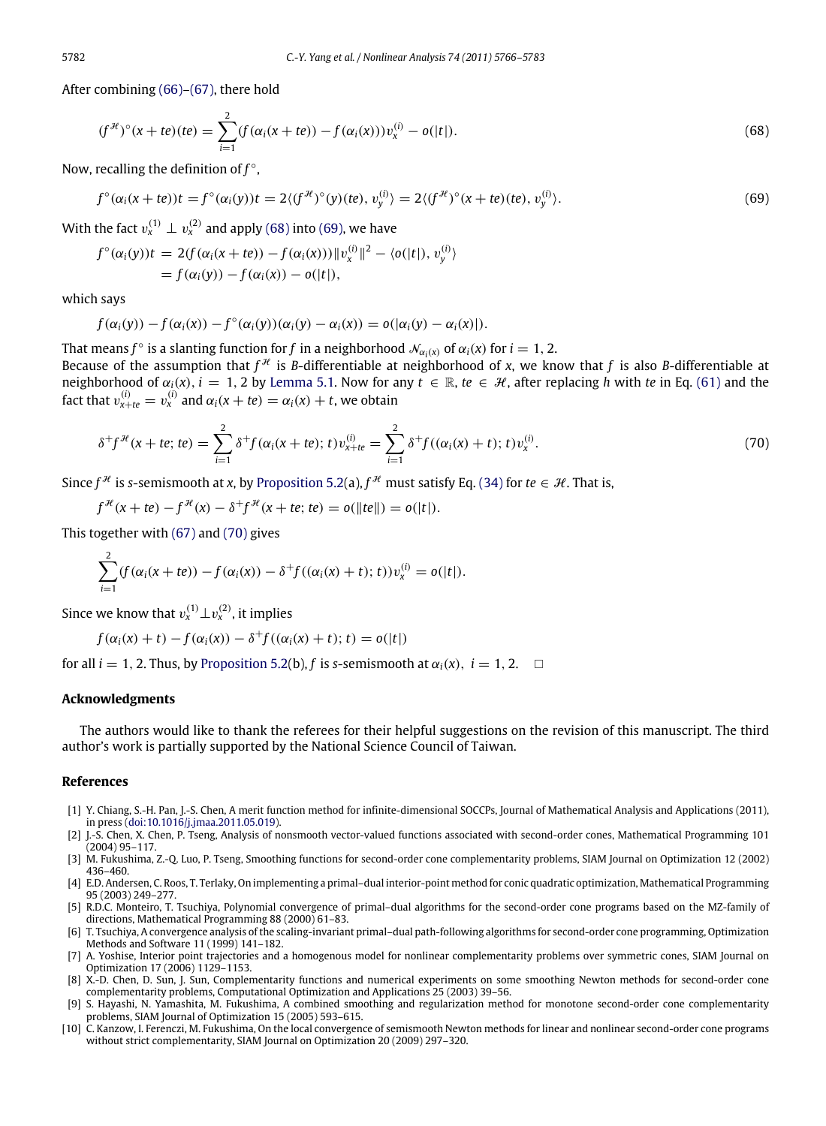After combining [\(66\)](#page-15-2)[–\(67\),](#page-15-3) there hold

<span id="page-16-8"></span><span id="page-16-7"></span>
$$
(f^{\mathcal{H}})^{\circ}(x+te)(te) = \sum_{i=1}^{2} (f(\alpha_i(x+te)) - f(\alpha_i(x)))v_x^{(i)} - o(|t|).
$$
\n(68)

Now, recalling the definition of *f* ◦ ,

$$
f^{\circ}(\alpha_i(x+te))t = f^{\circ}(\alpha_i(y))t = 2\langle (f^{\mathcal{H}})^{\circ}(y)(te), v_y^{(i)} \rangle = 2\langle (f^{\mathcal{H}})^{\circ}(x+te)(te), v_y^{(i)} \rangle.
$$
 (69)

With the fact  $v_x^{(1)} \perp v_x^{(2)}$  and apply [\(68\)](#page-16-7) into [\(69\),](#page-16-8) we have

$$
f^{\circ}(\alpha_i(y))t = 2(f(\alpha_i(x + te)) - f(\alpha_i(x)))\|v_x^{(i)}\|^2 - \langle o(|t|), v_y^{(i)}\rangle
$$
  
=  $f(\alpha_i(y)) - f(\alpha_i(x)) - o(|t|),$ 

which says

$$
f(\alpha_i(y))-f(\alpha_i(x))-f^{\circ}(\alpha_i(y))(\alpha_i(y)-\alpha_i(x))=o(|\alpha_i(y)-\alpha_i(x)|).
$$

That means  $f^{\circ}$  is a slanting function for  $f$  in a neighborhood  $\mathcal{N}_{\alpha_i(x)}$  of  $\alpha_i(x)$  for  $i = 1, 2$ . Because of the assumption that  $f^{\mathcal{H}}$  is *B*-differentiable at neighborhood of *x*, we know that *f* is also *B*-differentiable at neighborhood of  $\alpha_i(x)$ ,  $i = 1, 2$  by [Lemma 5.1.](#page-11-3) Now for any  $t \in \mathbb{R}$ ,  $te \in \mathcal{H}$ , after replacing *h* with *te* in Eq. [\(61\)](#page-13-3) and the fact that  $v_{x+te}^{(i)} = v_x^{(i)}$  and  $\alpha_i(x+te) = \alpha_i(x) + t$ , we obtain

<span id="page-16-9"></span>
$$
\delta^+ f^{\mathcal{H}}(x+te;te) = \sum_{i=1}^2 \delta^+ f(\alpha_i(x+te);t) v_{x+te}^{(i)} = \sum_{i=1}^2 \delta^+ f((\alpha_i(x)+t);t) v_x^{(i)}.
$$
\n(70)

Since  $f^{\mathcal{H}}$  is *s*-semismooth at *x*, by [Proposition 5.2\(](#page-9-8)a),  $f^{\mathcal{H}}$  must satisfy Eq. [\(34\)](#page-9-0) for *te*  $\in \mathcal{H}$ . That is,

 $f^{\mathcal{H}}(x + te) - f^{\mathcal{H}}(x) - \delta^{+} f^{\mathcal{H}}(x + te; te) = o(||te||) = o(|t|).$ 

This together with [\(67\)](#page-15-3) and [\(70\)](#page-16-9) gives

$$
\sum_{i=1}^{2} (f(\alpha_i(x+te)) - f(\alpha_i(x)) - \delta^+ f((\alpha_i(x)+t);t))v_x^{(i)} = o(|t|).
$$

Since we know that  $v_x^{(1)} \bot v_x^{(2)}$ , it implies

$$
f(\alpha_i(x) + t) - f(\alpha_i(x)) - \delta^+ f((\alpha_i(x) + t); t) = o(|t|)
$$

for all  $i = 1, 2$ . Thus, by [Proposition 5.2\(](#page-9-8)b), f is *s*-semismooth at  $\alpha_i(x)$ ,  $i = 1, 2$ .  $\Box$ 

#### **Acknowledgments**

The authors would like to thank the referees for their helpful suggestions on the revision of this manuscript. The third author's work is partially supported by the National Science Council of Taiwan.

#### **References**

- <span id="page-16-0"></span>[1] Y. Chiang, S.-H. Pan, J.-S. Chen, A merit function method for infinite-dimensional SOCCPs, Journal of Mathematical Analysis and Applications (2011), in press [\(doi:10.1016/j.jmaa.2011.05.019\)](http://dx.doi.org/doi:10.1016/j.jmaa.2011.05.019).
- <span id="page-16-1"></span>[2] J.-S. Chen, X. Chen, P. Tseng, Analysis of nonsmooth vector-valued functions associated with second-order cones, Mathematical Programming 101 (2004) 95–117.
- <span id="page-16-2"></span>[3] M. Fukushima, Z.-Q. Luo, P. Tseng, Smoothing functions for second-order cone complementarity problems, SIAM Journal on Optimization 12 (2002) 436–460.
- <span id="page-16-3"></span>[4] E.D. Andersen, C. Roos, T. Terlaky, On implementing a primal–dual interior-point method for conic quadratic optimization, Mathematical Programming 95 (2003) 249–277.
- [5] R.D.C. Monteiro, T. Tsuchiya, Polynomial convergence of primal–dual algorithms for the second-order cone programs based on the MZ-family of directions, Mathematical Programming 88 (2000) 61–83.
- [6] T. Tsuchiya, A convergence analysis of the scaling-invariant primal–dual path-following algorithms for second-order cone programming, Optimization Methods and Software 11 (1999) 141–182.
- [7] A. Yoshise, Interior point trajectories and a homogenous model for nonlinear complementarity problems over symmetric cones, SIAM Journal on Optimization 17 (2006) 1129–1153.
- <span id="page-16-4"></span>[8] X.-D. Chen, D. Sun, J. Sun, Complementarity functions and numerical experiments on some smoothing Newton methods for second-order cone complementarity problems, Computational Optimization and Applications 25 (2003) 39–56.
- <span id="page-16-5"></span>[9] S. Hayashi, N. Yamashita, M. Fukushima, A combined smoothing and regularization method for monotone second-order cone complementarity problems, SIAM Journal of Optimization 15 (2005) 593–615.
- <span id="page-16-6"></span>[10] C. Kanzow, I. Ferenczi, M. Fukushima, On the local convergence of semismooth Newton methods for linear and nonlinear second-order cone programs without strict complementarity, SIAM Journal on Optimization 20 (2009) 297–320.